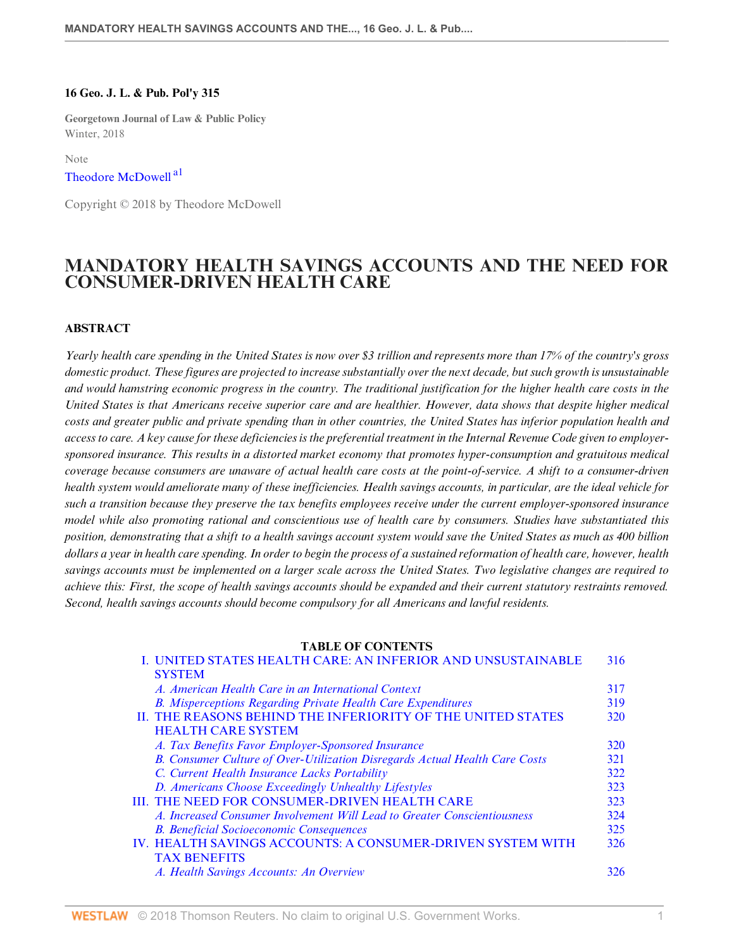#### **16 Geo. J. L. & Pub. Pol'y 315**

**Georgetown Journal of Law & Public Policy** Winter, 2018

<span id="page-0-0"></span>Note

# [Theodore McDowell](http://www.westlaw.com/Link/Document/FullText?findType=h&pubNum=176284&cite=0148460701&originatingDoc=Ie4b058f32bd911e89bf099c0ee06c731&refType=RQ&originationContext=document&vr=3.0&rs=cblt1.0&transitionType=DocumentItem&contextData=(sc.Default))<sup>[a1](#page-12-0)</sup>

Copyright © 2018 by Theodore McDowell

# **MANDATORY HEALTH SAVINGS ACCOUNTS AND THE NEED FOR CONSUMER-DRIVEN HEALTH CARE**

#### **ABSTRACT**

*Yearly health care spending in the United States is now over \$3 trillion and represents more than 17% of the country's gross domestic product. These figures are projected to increase substantially over the next decade, but such growth is unsustainable and would hamstring economic progress in the country. The traditional justification for the higher health care costs in the United States is that Americans receive superior care and are healthier. However, data shows that despite higher medical costs and greater public and private spending than in other countries, the United States has inferior population health and access to care. A key cause for these deficiencies is the preferential treatment in the Internal Revenue Code given to employersponsored insurance. This results in a distorted market economy that promotes hyper-consumption and gratuitous medical coverage because consumers are unaware of actual health care costs at the point-of-service. A shift to a consumer-driven health system would ameliorate many of these inefficiencies. Health savings accounts, in particular, are the ideal vehicle for such a transition because they preserve the tax benefits employees receive under the current employer-sponsored insurance model while also promoting rational and conscientious use of health care by consumers. Studies have substantiated this position, demonstrating that a shift to a health savings account system would save the United States as much as 400 billion dollars a year in health care spending. In order to begin the process of a sustained reformation of health care, however, health savings accounts must be implemented on a larger scale across the United States. Two legislative changes are required to achieve this: First, the scope of health savings accounts should be expanded and their current statutory restraints removed. Second, health savings accounts should become compulsory for all Americans and lawful residents.*

#### **TABLE OF CONTENTS**

| I. UNITED STATES HEALTH CARE: AN INFERIOR AND UNSUSTAINABLE                 | 316        |
|-----------------------------------------------------------------------------|------------|
| <b>SYSTEM</b>                                                               |            |
| A. American Health Care in an International Context                         | 317        |
| <b>B.</b> Misperceptions Regarding Private Health Care Expenditures         | 319        |
| II. THE REASONS BEHIND THE INFERIORITY OF THE UNITED STATES                 | <b>320</b> |
| <b>HEALTH CARE SYSTEM</b>                                                   |            |
| A. Tax Benefits Favor Employer-Sponsored Insurance                          | 320        |
| B. Consumer Culture of Over-Utilization Disregards Actual Health Care Costs | 321        |
| C. Current Health Insurance Lacks Portability                               | 322        |
| D. Americans Choose Exceedingly Unhealthy Lifestyles                        | 323        |
| <b>III. THE NEED FOR CONSUMER-DRIVEN HEALTH CARE</b>                        | 323        |
| A. Increased Consumer Involvement Will Lead to Greater Conscientiousness    | 324        |
| <b>B.</b> Beneficial Socioeconomic Consequences                             | 325        |
| IV. HEALTH SAVINGS ACCOUNTS: A CONSUMER-DRIVEN SYSTEM WITH                  | 326        |
| <b>TAX BENEFITS</b>                                                         |            |
| A. Health Savings Accounts: An Overview                                     | 326.       |
|                                                                             |            |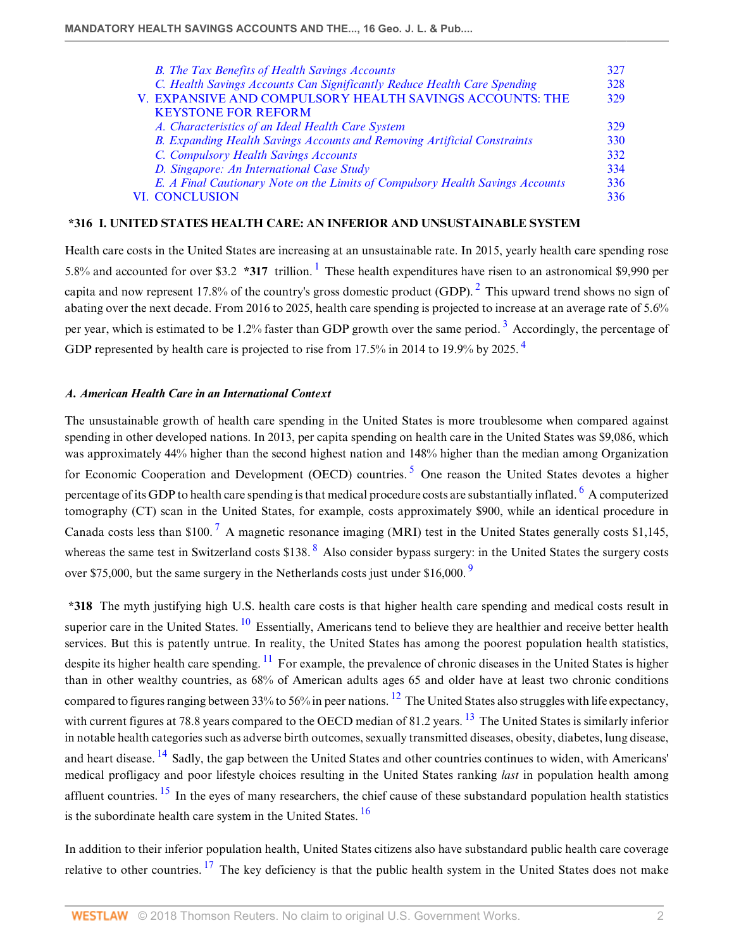<span id="page-1-3"></span>

| <b>B.</b> The Tax Benefits of Health Savings Accounts                           | 327 |
|---------------------------------------------------------------------------------|-----|
| C. Health Savings Accounts Can Significantly Reduce Health Care Spending        | 328 |
| V. EXPANSIVE AND COMPULSORY HEALTH SAVINGS ACCOUNTS: THE                        | 329 |
| <b>KEYSTONE FOR REFORM</b>                                                      |     |
| A. Characteristics of an Ideal Health Care System                               | 329 |
| <b>B.</b> Expanding Health Savings Accounts and Removing Artificial Constraints | 330 |
| C. Compulsory Health Savings Accounts                                           | 332 |
| D. Singapore: An International Case Study                                       | 334 |
| E. A Final Cautionary Note on the Limits of Compulsory Health Savings Accounts  | 336 |
| <b>VI. CONCLUSION</b>                                                           | 336 |

#### <span id="page-1-2"></span><span id="page-1-0"></span>**\*316 I. UNITED STATES HEALTH CARE: AN INFERIOR AND UNSUSTAINABLE SYSTEM**

<span id="page-1-4"></span>Health care costs in the United States are increasing at an unsustainable rate. In 2015, yearly health care spending rose 5.8% and accounted for over \$3.2 **\*3[1](#page-12-1)7** trillion. <sup>1</sup> These health expenditures have risen to an astronomical \$9,990 per capita and now represent 17.8% of the country's gross domestic product (GDP).  $^2$  $^2$  This upward trend shows no sign of abating over the next decade. From 2016 to 2025, health care spending is projected to increase at an average rate of 5.6% per year, which is estimated to be 1.2% faster than GDP growth over the same period.<sup>[3](#page-12-3)</sup> Accordingly, the percentage of GDP represented by health care is projected to rise from 17.5% in 201[4](#page-12-4) to 19.9% by 2025.<sup>4</sup>

#### <span id="page-1-5"></span><span id="page-1-1"></span>*A. American Health Care in an International Context*

<span id="page-1-7"></span><span id="page-1-6"></span>The unsustainable growth of health care spending in the United States is more troublesome when compared against spending in other developed nations. In 2013, per capita spending on health care in the United States was \$9,086, which was approximately 44% higher than the second highest nation and 148% higher than the median among Organization for Economic Cooperation and Development (OECD) countries.<sup>[5](#page-12-5)</sup> One reason the United States devotes a higher percentage of its GDP to health care spending is that medical procedure costs are substantially inflated.  $^6$  $^6$  A computerized tomography (CT) scan in the United States, for example, costs approximately \$900, while an identical procedure in Canada costs less than \$100.<sup>[7](#page-12-7)</sup> A magnetic resonance imaging (MRI) test in the United States generally costs \$1,145, whereas the same test in Switzerland costs \$13[8](#page-12-8).  $8$  Also consider bypass surgery: in the United States the surgery costs over \$75,000, but the same surgery in the Netherlands costs just under \$16,000.  $\frac{9}{2}$  $\frac{9}{2}$  $\frac{9}{2}$ 

<span id="page-1-14"></span><span id="page-1-13"></span><span id="page-1-12"></span><span id="page-1-11"></span><span id="page-1-10"></span><span id="page-1-9"></span><span id="page-1-8"></span>**\*318** The myth justifying high U.S. health care costs is that higher health care spending and medical costs result in superior care in the United States. <sup>[10](#page-12-10)</sup> Essentially, Americans tend to believe they are healthier and receive better health services. But this is patently untrue. In reality, the United States has among the poorest population health statistics, despite its higher health care spending.  $\frac{11}{1}$  $\frac{11}{1}$  $\frac{11}{1}$  For example, the prevalence of chronic diseases in the United States is higher than in other wealthy countries, as 68% of American adults ages 65 and older have at least two chronic conditions compared to figures ranging between 33% to 56% in peer nations. [12](#page-12-12) The United States also struggles with life expectancy, with current figures at 78.8 years compared to the OECD median of 81.2 years. <sup>[13](#page-12-13)</sup> The United States is similarly inferior in notable health categories such as adverse birth outcomes, sexually transmitted diseases, obesity, diabetes, lung disease, and heart disease. <sup>[14](#page-12-14)</sup> Sadly, the gap between the United States and other countries continues to widen, with Americans' medical profligacy and poor lifestyle choices resulting in the United States ranking *last* in population health among affluent countries.  $^{15}$  $^{15}$  $^{15}$  In the eyes of many researchers, the chief cause of these substandard population health statistics is the subordinate health care system in the United States.  $\frac{16}{16}$  $\frac{16}{16}$  $\frac{16}{16}$ 

<span id="page-1-18"></span><span id="page-1-17"></span><span id="page-1-16"></span><span id="page-1-15"></span>In addition to their inferior population health, United States citizens also have substandard public health care coverage relative to other countries.  $^{17}$  $^{17}$  $^{17}$  The key deficiency is that the public health system in the United States does not make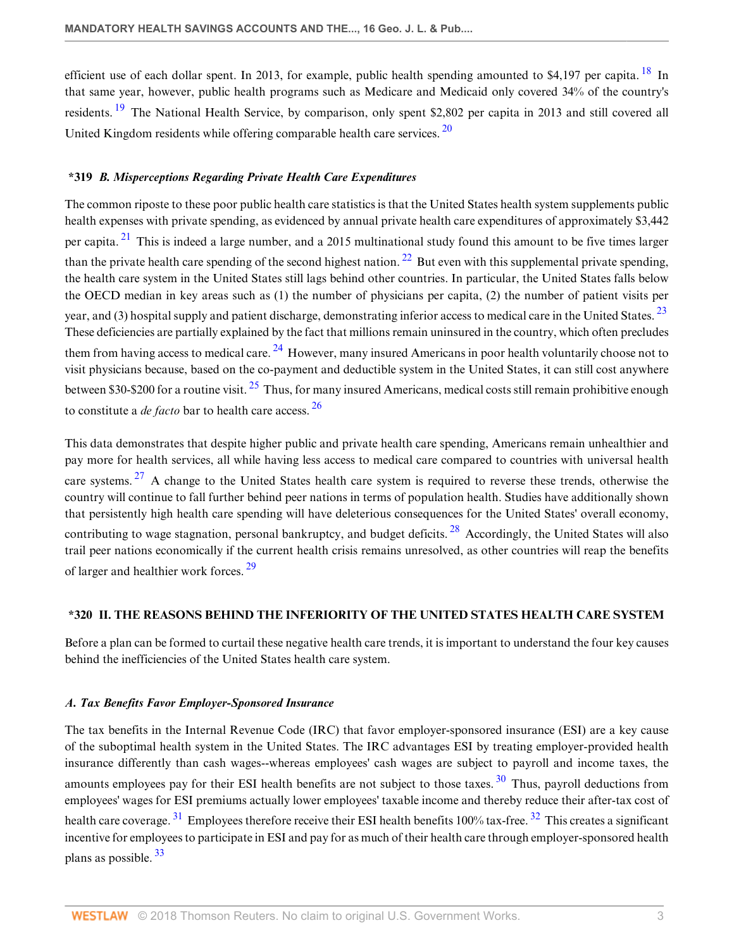<span id="page-2-4"></span><span id="page-2-3"></span>efficient use of each dollar spent. In 2013, for example, public health spending amounted to \$4,197 per capita. <sup>[18](#page-13-1)</sup> In that same year, however, public health programs such as Medicare and Medicaid only covered 34% of the country's residents.<sup>[19](#page-13-2)</sup> The National Health Service, by comparison, only spent \$2,802 per capita in 2013 and still covered all United Kingdom residents while offering comparable health care services.  $^{20}$  $^{20}$  $^{20}$ 

# <span id="page-2-5"></span><span id="page-2-0"></span>**\*319** *B. Misperceptions Regarding Private Health Care Expenditures*

<span id="page-2-8"></span><span id="page-2-7"></span><span id="page-2-6"></span>The common riposte to these poor public health care statistics is that the United States health system supplements public health expenses with private spending, as evidenced by annual private health care expenditures of approximately \$3,442 per capita.  $21$  This is indeed a large number, and a 2015 multinational study found this amount to be five times larger than the private health care spending of the second highest nation.  $^{22}$  $^{22}$  $^{22}$  But even with this supplemental private spending, the health care system in the United States still lags behind other countries. In particular, the United States falls below the OECD median in key areas such as (1) the number of physicians per capita, (2) the number of patient visits per year, and (3) hospital supply and patient discharge, demonstrating inferior access to medical care in the United States.<sup>[23](#page-13-6)</sup> These deficiencies are partially explained by the fact that millions remain uninsured in the country, which often precludes them from having access to medical care.  $^{24}$  $^{24}$  $^{24}$  However, many insured Americans in poor health voluntarily choose not to visit physicians because, based on the co-payment and deductible system in the United States, it can still cost anywhere between \$30-\$200 for a routine visit.  $^{25}$  $^{25}$  $^{25}$  Thus, for many insured Americans, medical costs still remain prohibitive enough to constitute a *de facto* bar to health care access. [26](#page-13-9)

<span id="page-2-12"></span><span id="page-2-11"></span><span id="page-2-10"></span><span id="page-2-9"></span>This data demonstrates that despite higher public and private health care spending, Americans remain unhealthier and pay more for health services, all while having less access to medical care compared to countries with universal health care systems. <sup>[27](#page-13-10)</sup> A change to the United States health care system is required to reverse these trends, otherwise the country will continue to fall further behind peer nations in terms of population health. Studies have additionally shown that persistently high health care spending will have deleterious consequences for the United States' overall economy, contributing to wage stagnation, personal bankruptcy, and budget deficits.  $^{28}$  $^{28}$  $^{28}$  Accordingly, the United States will also trail peer nations economically if the current health crisis remains unresolved, as other countries will reap the benefits of larger and healthier work forces. [29](#page-13-12)

#### <span id="page-2-14"></span><span id="page-2-13"></span><span id="page-2-1"></span>**\*320 II. THE REASONS BEHIND THE INFERIORITY OF THE UNITED STATES HEALTH CARE SYSTEM**

Before a plan can be formed to curtail these negative health care trends, it is important to understand the four key causes behind the inefficiencies of the United States health care system.

#### <span id="page-2-2"></span>*A. Tax Benefits Favor Employer-Sponsored Insurance*

<span id="page-2-18"></span><span id="page-2-17"></span><span id="page-2-16"></span><span id="page-2-15"></span>The tax benefits in the Internal Revenue Code (IRC) that favor employer-sponsored insurance (ESI) are a key cause of the suboptimal health system in the United States. The IRC advantages ESI by treating employer-provided health insurance differently than cash wages--whereas employees' cash wages are subject to payroll and income taxes, the amounts employees pay for their ESI health benefits are not subject to those taxes.  $30$  Thus, payroll deductions from employees' wages for ESI premiums actually lower employees' taxable income and thereby reduce their after-tax cost of health care coverage.<sup>[31](#page-13-14)</sup> Employees therefore receive their ESI health benefits 100% tax-free.<sup>[32](#page-13-15)</sup> This creates a significant incentive for employees to participate in ESI and pay for as much of their health care through employer-sponsored health plans as possible. [33](#page-13-16)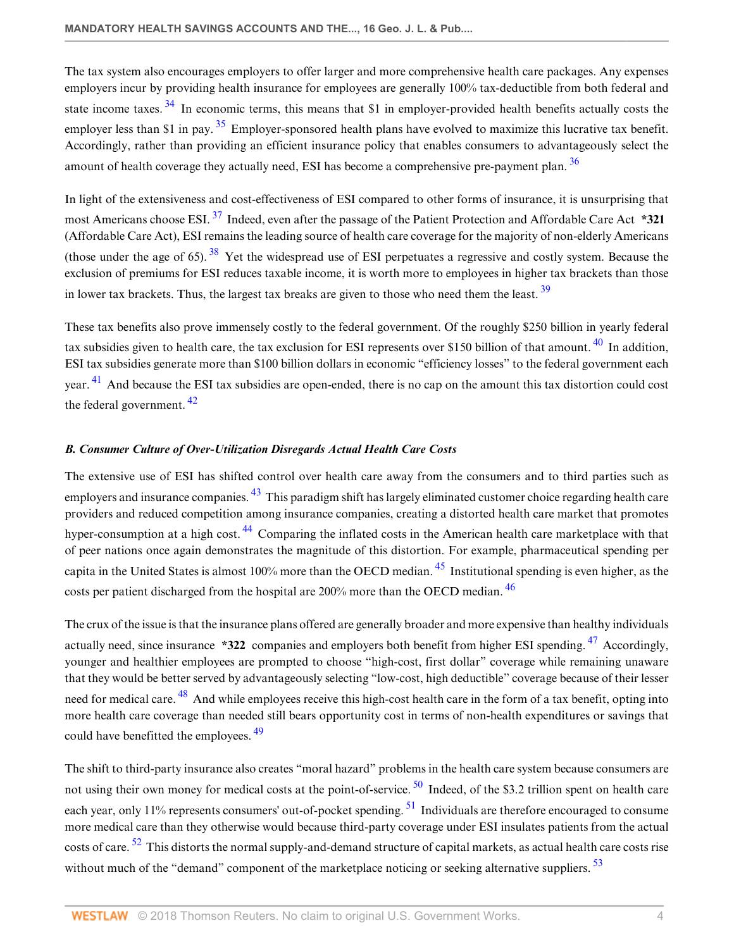<span id="page-3-2"></span><span id="page-3-1"></span>The tax system also encourages employers to offer larger and more comprehensive health care packages. Any expenses employers incur by providing health insurance for employees are generally 100% tax-deductible from both federal and state income taxes. <sup>[34](#page-13-17)</sup> In economic terms, this means that \$1 in employer-provided health benefits actually costs the employer less than \$1 in pay.  $35$  Employer-sponsored health plans have evolved to maximize this lucrative tax benefit. Accordingly, rather than providing an efficient insurance policy that enables consumers to advantageously select the amount of health coverage they actually need, ESI has become a comprehensive pre-payment plan.  $36$ 

<span id="page-3-5"></span><span id="page-3-4"></span><span id="page-3-3"></span>In light of the extensiveness and cost-effectiveness of ESI compared to other forms of insurance, it is unsurprising that most Americans choose ESI. [37](#page-13-20) Indeed, even after the passage of the Patient Protection and Affordable Care Act **\*321** (Affordable Care Act), ESI remains the leading source of health care coverage for the majority of non-elderly Americans (those under the age of 65).  $38$  Yet the widespread use of ESI perpetuates a regressive and costly system. Because the exclusion of premiums for ESI reduces taxable income, it is worth more to employees in higher tax brackets than those in lower tax brackets. Thus, the largest tax breaks are given to those who need them the least.  $39$ 

<span id="page-3-8"></span><span id="page-3-7"></span><span id="page-3-6"></span>These tax benefits also prove immensely costly to the federal government. Of the roughly \$250 billion in yearly federal tax subsidies given to health care, the tax exclusion for ESI represents over \$150 billion of that amount.<sup>[40](#page-13-23)</sup> In addition, ESI tax subsidies generate more than \$100 billion dollars in economic "efficiency losses" to the federal government each year. [41](#page-13-24) And because the ESI tax subsidies are open-ended, there is no cap on the amount this tax distortion could cost the federal government. [42](#page-14-0)

# <span id="page-3-9"></span><span id="page-3-0"></span>*B. Consumer Culture of Over-Utilization Disregards Actual Health Care Costs*

<span id="page-3-11"></span><span id="page-3-10"></span>The extensive use of ESI has shifted control over health care away from the consumers and to third parties such as employers and insurance companies. <sup>[43](#page-14-1)</sup> This paradigm shift has largely eliminated customer choice regarding health care providers and reduced competition among insurance companies, creating a distorted health care market that promotes hyper-consumption at a high cost.<sup>[44](#page-14-2)</sup> Comparing the inflated costs in the American health care marketplace with that of peer nations once again demonstrates the magnitude of this distortion. For example, pharmaceutical spending per capita in the United States is almost 100% more than the OECD median.  $45$  Institutional spending is even higher, as the costs per patient discharged from the hospital are 200% more than the OECD median. <sup>[46](#page-14-4)</sup>

<span id="page-3-15"></span><span id="page-3-14"></span><span id="page-3-13"></span><span id="page-3-12"></span>The crux of the issue is that the insurance plans offered are generally broader and more expensive than healthy individuals actually need, since insurance **\*322** companies and employers both benefit from higher ESI spending. [47](#page-14-5) Accordingly, younger and healthier employees are prompted to choose "high-cost, first dollar" coverage while remaining unaware that they would be better served by advantageously selecting "low-cost, high deductible" coverage because of their lesser need for medical care. <sup>[48](#page-14-6)</sup> And while employees receive this high-cost health care in the form of a tax benefit, opting into more health care coverage than needed still bears opportunity cost in terms of non-health expenditures or savings that could have benefitted the employees. [49](#page-14-7)

<span id="page-3-20"></span><span id="page-3-19"></span><span id="page-3-18"></span><span id="page-3-17"></span><span id="page-3-16"></span>The shift to third-party insurance also creates "moral hazard" problems in the health care system because consumers are not using their own money for medical costs at the point-of-service. <sup>[50](#page-14-8)</sup> Indeed, of the \$3.2 trillion spent on health care each year, only 11% represents consumers' out-of-pocket spending. <sup>[51](#page-14-9)</sup> Individuals are therefore encouraged to consume more medical care than they otherwise would because third-party coverage under ESI insulates patients from the actual costs of care.  $52$  This distorts the normal supply-and-demand structure of capital markets, as actual health care costs rise without much of the "demand" component of the marketplace noticing or seeking alternative suppliers. <sup>[53](#page-14-11)</sup>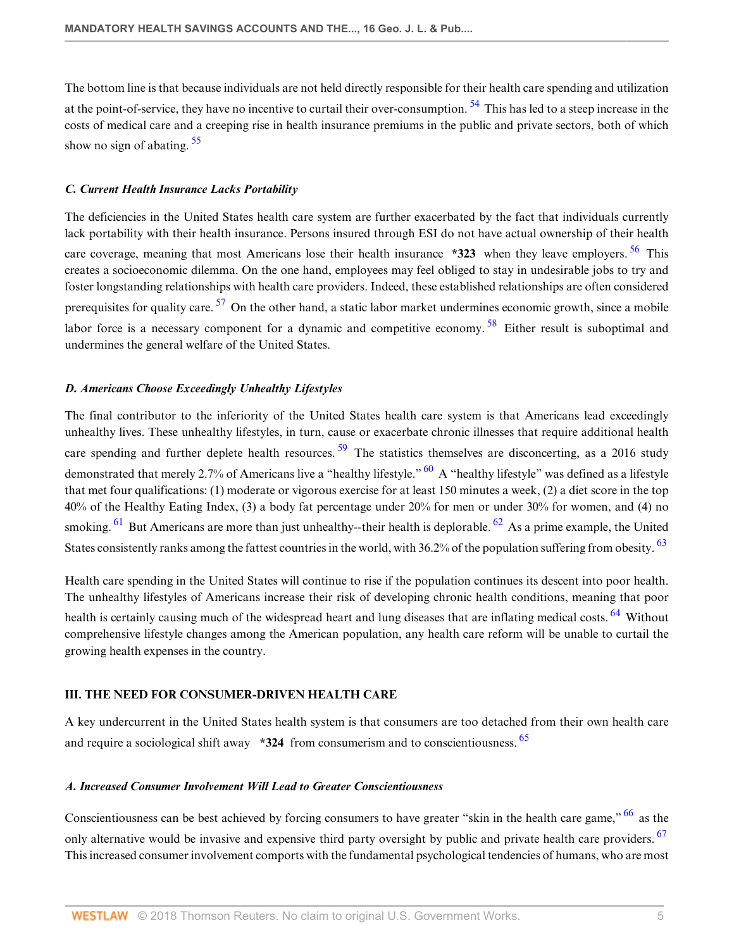<span id="page-4-5"></span><span id="page-4-4"></span>The bottom line is that because individuals are not held directly responsible for their health care spending and utilization at the point-of-service, they have no incentive to curtail their over-consumption. <sup>[54](#page-14-12)</sup> This has led to a steep increase in the costs of medical care and a creeping rise in health insurance premiums in the public and private sectors, both of which show no sign of abating.  $55$ 

# <span id="page-4-0"></span>*C. Current Health Insurance Lacks Portability*

<span id="page-4-7"></span><span id="page-4-6"></span>The deficiencies in the United States health care system are further exacerbated by the fact that individuals currently lack portability with their health insurance. Persons insured through ESI do not have actual ownership of their health care coverage, meaning that most Americans lose their health insurance **\*323** when they leave employers. <sup>[56](#page-14-14)</sup> This creates a socioeconomic dilemma. On the one hand, employees may feel obliged to stay in undesirable jobs to try and foster longstanding relationships with health care providers. Indeed, these established relationships are often considered prerequisites for quality care.  $57$  On the other hand, a static labor market undermines economic growth, since a mobile labor force is a necessary component for a dynamic and competitive economy.<sup>[58](#page-14-16)</sup> Either result is suboptimal and undermines the general welfare of the United States.

# <span id="page-4-8"></span><span id="page-4-1"></span>*D. Americans Choose Exceedingly Unhealthy Lifestyles*

<span id="page-4-10"></span><span id="page-4-9"></span>The final contributor to the inferiority of the United States health care system is that Americans lead exceedingly unhealthy lives. These unhealthy lifestyles, in turn, cause or exacerbate chronic illnesses that require additional health care spending and further deplete health resources.<sup>[59](#page-14-17)</sup> The statistics themselves are disconcerting, as a 2016 study demonstrated that merely 2.7% of Americans live a "healthy lifestyle." <sup>[60](#page-14-18)</sup> A "healthy lifestyle" was defined as a lifestyle that met four qualifications: (1) moderate or vigorous exercise for at least 150 minutes a week, (2) a diet score in the top 40% of the Healthy Eating Index, (3) a body fat percentage under 20% for men or under 30% for women, and (4) no smoking.  $61$  But Americans are more than just unhealthy--their health is deplorable.  $62$  As a prime example, the United States consistently ranks among the fattest countries in the world, with 36.2% of the population suffering from obesity. <sup>[63](#page-14-21)</sup>

<span id="page-4-14"></span><span id="page-4-13"></span><span id="page-4-12"></span><span id="page-4-11"></span>Health care spending in the United States will continue to rise if the population continues its descent into poor health. The unhealthy lifestyles of Americans increase their risk of developing chronic health conditions, meaning that poor health is certainly causing much of the widespread heart and lung diseases that are inflating medical costs. <sup>[64](#page-14-22)</sup> Without comprehensive lifestyle changes among the American population, any health care reform will be unable to curtail the growing health expenses in the country.

#### <span id="page-4-2"></span>**III. THE NEED FOR CONSUMER-DRIVEN HEALTH CARE**

<span id="page-4-15"></span>A key undercurrent in the United States health system is that consumers are too detached from their own health care and require a sociological shift away **\*324** from consumerism and to conscientiousness. [65](#page-15-0)

# <span id="page-4-3"></span>*A. Increased Consumer Involvement Will Lead to Greater Conscientiousness*

<span id="page-4-17"></span><span id="page-4-16"></span>Conscientiousness can be best achieved by forcing consumers to have greater "skin in the health care game,"  $66$  as the only alternative would be invasive and expensive third party oversight by public and private health care providers. <sup>[67](#page-15-2)</sup> This increased consumer involvement comports with the fundamental psychological tendencies of humans, who are most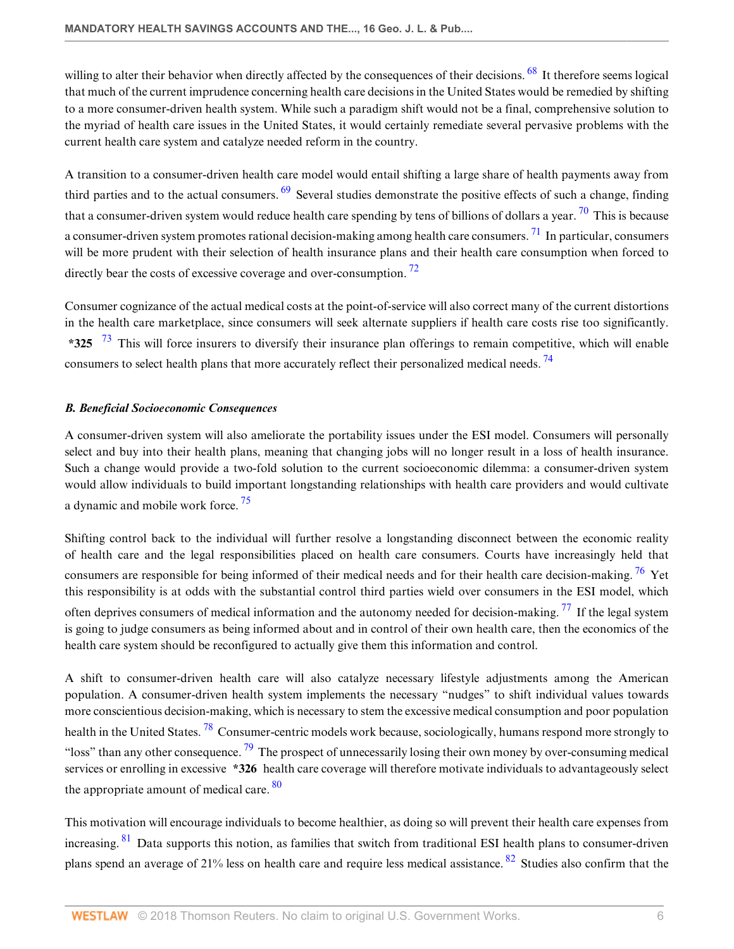<span id="page-5-1"></span>willing to alter their behavior when directly affected by the consequences of their decisions. <sup>[68](#page-15-3)</sup> It therefore seems logical that much of the current imprudence concerning health care decisions in the United States would be remedied by shifting to a more consumer-driven health system. While such a paradigm shift would not be a final, comprehensive solution to the myriad of health care issues in the United States, it would certainly remediate several pervasive problems with the current health care system and catalyze needed reform in the country.

<span id="page-5-4"></span><span id="page-5-3"></span><span id="page-5-2"></span>A transition to a consumer-driven health care model would entail shifting a large share of health payments away from third parties and to the actual consumers.  $69$  Several studies demonstrate the positive effects of such a change, finding that a consumer-driven system would reduce health care spending by tens of billions of dollars a year.  $\frac{70}{10}$  $\frac{70}{10}$  $\frac{70}{10}$  This is because a consumer-driven system promotes rational decision-making among health care consumers.  $^{71}$  $^{71}$  $^{71}$  In particular, consumers will be more prudent with their selection of health insurance plans and their health care consumption when forced to directly bear the costs of excessive coverage and over-consumption.  $\frac{72}{6}$  $\frac{72}{6}$  $\frac{72}{6}$ 

<span id="page-5-6"></span><span id="page-5-5"></span>Consumer cognizance of the actual medical costs at the point-of-service will also correct many of the current distortions in the health care marketplace, since consumers will seek alternate suppliers if health care costs rise too significantly. **\*325** [73](#page-15-8) This will force insurers to diversify their insurance plan offerings to remain competitive, which will enable consumers to select health plans that more accurately reflect their personalized medical needs.<sup>[74](#page-15-9)</sup>

#### <span id="page-5-7"></span><span id="page-5-0"></span>*B. Beneficial Socioeconomic Consequences*

A consumer-driven system will also ameliorate the portability issues under the ESI model. Consumers will personally select and buy into their health plans, meaning that changing jobs will no longer result in a loss of health insurance. Such a change would provide a two-fold solution to the current socioeconomic dilemma: a consumer-driven system would allow individuals to build important longstanding relationships with health care providers and would cultivate a dynamic and mobile work force. [75](#page-15-10)

<span id="page-5-10"></span><span id="page-5-9"></span><span id="page-5-8"></span>Shifting control back to the individual will further resolve a longstanding disconnect between the economic reality of health care and the legal responsibilities placed on health care consumers. Courts have increasingly held that consumers are responsible for being informed of their medical needs and for their health care decision-making. <sup>[76](#page-15-11)</sup> Yet this responsibility is at odds with the substantial control third parties wield over consumers in the ESI model, which often deprives consumers of medical information and the autonomy needed for decision-making.  $^{77}$  $^{77}$  $^{77}$  If the legal system is going to judge consumers as being informed about and in control of their own health care, then the economics of the health care system should be reconfigured to actually give them this information and control.

<span id="page-5-12"></span><span id="page-5-11"></span>A shift to consumer-driven health care will also catalyze necessary lifestyle adjustments among the American population. A consumer-driven health system implements the necessary "nudges" to shift individual values towards more conscientious decision-making, which is necessary to stem the excessive medical consumption and poor population health in the United States.<sup>[78](#page-15-13)</sup> Consumer-centric models work because, sociologically, humans respond more strongly to "loss" than any other consequence.  $^{79}$  $^{79}$  $^{79}$  The prospect of unnecessarily losing their own money by over-consuming medical services or enrolling in excessive **\*326** health care coverage will therefore motivate individuals to advantageously select the appropriate amount of medical care.  $80$ 

<span id="page-5-15"></span><span id="page-5-14"></span><span id="page-5-13"></span>This motivation will encourage individuals to become healthier, as doing so will prevent their health care expenses from increasing. <sup>[81](#page-15-16)</sup> Data supports this notion, as families that switch from traditional ESI health plans to consumer-driven plans spend an average of 21% less on health care and require less medical assistance. [82](#page-15-17) Studies also confirm that the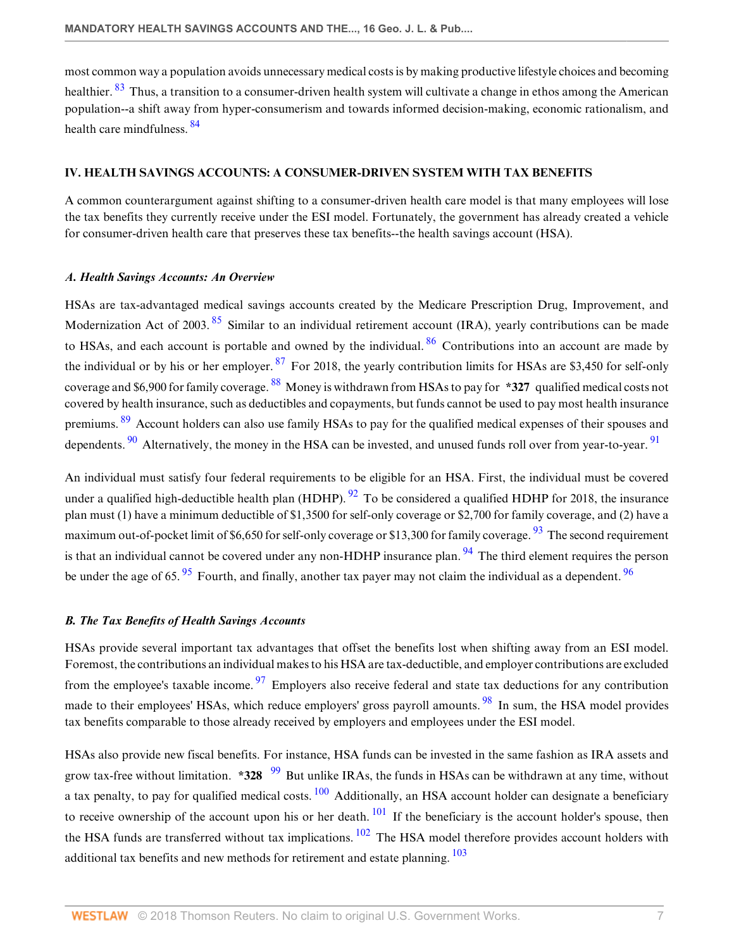<span id="page-6-4"></span><span id="page-6-3"></span>most common way a population avoids unnecessary medical costs is by making productive lifestyle choices and becoming healthier. <sup>[83](#page-15-18)</sup> Thus, a transition to a consumer-driven health system will cultivate a change in ethos among the American population--a shift away from hyper-consumerism and towards informed decision-making, economic rationalism, and health care mindfulness. [84](#page-15-19)

# <span id="page-6-0"></span>**IV. HEALTH SAVINGS ACCOUNTS: A CONSUMER-DRIVEN SYSTEM WITH TAX BENEFITS**

A common counterargument against shifting to a consumer-driven health care model is that many employees will lose the tax benefits they currently receive under the ESI model. Fortunately, the government has already created a vehicle for consumer-driven health care that preserves these tax benefits--the health savings account (HSA).

#### <span id="page-6-1"></span>*A. Health Savings Accounts: An Overview*

<span id="page-6-8"></span><span id="page-6-7"></span><span id="page-6-6"></span><span id="page-6-5"></span>HSAs are tax-advantaged medical savings accounts created by the Medicare Prescription Drug, Improvement, and Modernization Act of 2003.<sup>[85](#page-16-0)</sup> Similar to an individual retirement account (IRA), yearly contributions can be made to HSAs, and each account is portable and owned by the individual. <sup>[86](#page-16-1)</sup> Contributions into an account are made by the individual or by his or her employer.  $87$  For 2018, the yearly contribution limits for HSAs are \$3,450 for self-only coverage and \$6,900 for family coverage. [88](#page-16-3) Money is withdrawn from HSAs to pay for **\*327** qualified medical costs not covered by health insurance, such as deductibles and copayments, but funds cannot be used to pay most health insurance premiums. <sup>[89](#page-16-4)</sup> Account holders can also use family HSAs to pay for the qualified medical expenses of their spouses and dependents.  $90$  Alternatively, the money in the HSA can be invested, and unused funds roll over from year-to-year.  $91$ 

<span id="page-6-14"></span><span id="page-6-13"></span><span id="page-6-12"></span><span id="page-6-11"></span><span id="page-6-10"></span><span id="page-6-9"></span>An individual must satisfy four federal requirements to be eligible for an HSA. First, the individual must be covered under a qualified high-deductible health plan (HDHP).  $92$  To be considered a qualified HDHP for 2018, the insurance plan must (1) have a minimum deductible of \$1,3500 for self-only coverage or \$2,700 for family coverage, and (2) have a maximum out-of-pocket limit of \$6,650 for self-only coverage or \$13,300 for family coverage.  $\frac{93}{93}$  $\frac{93}{93}$  $\frac{93}{93}$  The second requirement is that an individual cannot be covered under any non-HDHP insurance plan. <sup>[94](#page-16-9)</sup> The third element requires the person be under the age of 65.  $\frac{95}{10}$  $\frac{95}{10}$  $\frac{95}{10}$  Fourth, and finally, another tax payer may not claim the individual as a dependent.  $\frac{96}{10}$  $\frac{96}{10}$  $\frac{96}{10}$ 

#### <span id="page-6-16"></span><span id="page-6-15"></span><span id="page-6-2"></span>*B. The Tax Benefits of Health Savings Accounts*

<span id="page-6-18"></span><span id="page-6-17"></span>HSAs provide several important tax advantages that offset the benefits lost when shifting away from an ESI model. Foremost, the contributions an individual makes to his HSA are tax-deductible, and employer contributions are excluded from the employee's taxable income.  $\frac{97}{9}$  $\frac{97}{9}$  $\frac{97}{9}$  Employers also receive federal and state tax deductions for any contribution made to their employees' HSAs, which reduce employers' gross payroll amounts.<sup>[98](#page-16-13)</sup> In sum, the HSA model provides tax benefits comparable to those already received by employers and employees under the ESI model.

<span id="page-6-23"></span><span id="page-6-22"></span><span id="page-6-21"></span><span id="page-6-20"></span><span id="page-6-19"></span>HSAs also provide new fiscal benefits. For instance, HSA funds can be invested in the same fashion as IRA assets and grow tax-free without limitation. **\*328** <sup>[99](#page-16-14)</sup> But unlike IRAs, the funds in HSAs can be withdrawn at any time, without a tax penalty, to pay for qualified medical costs.  $100$  Additionally, an HSA account holder can designate a beneficiary to receive ownership of the account upon his or her death.  $101$  If the beneficiary is the account holder's spouse, then the HSA funds are transferred without tax implications. <sup>[102](#page-16-17)</sup> The HSA model therefore provides account holders with additional tax benefits and new methods for retirement and estate planning.  $\frac{103}{2}$  $\frac{103}{2}$  $\frac{103}{2}$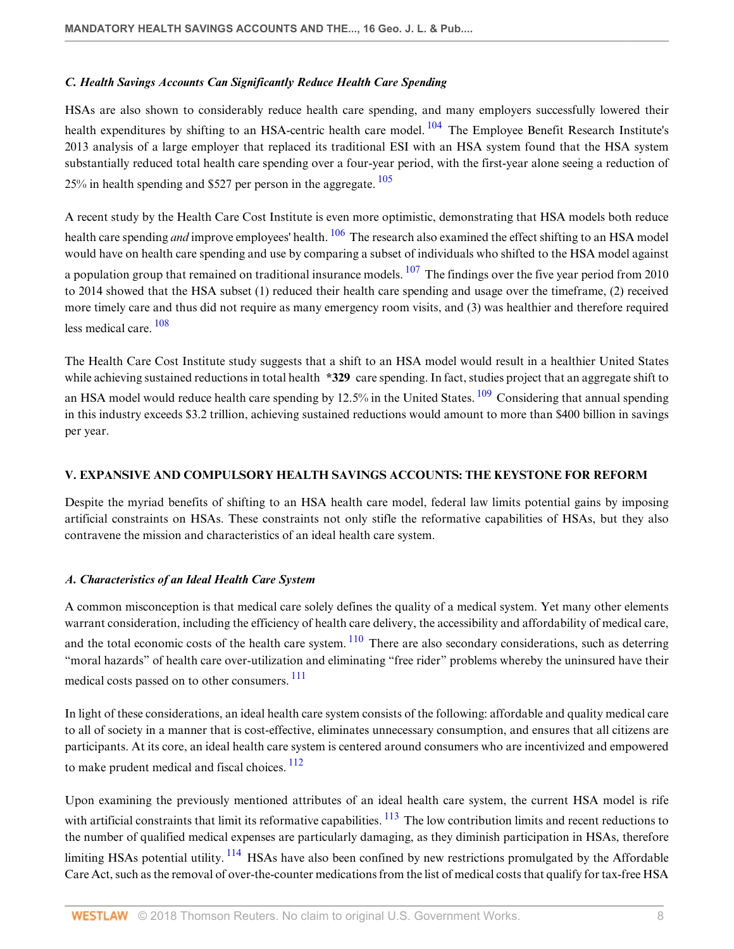#### <span id="page-7-0"></span>*C. Health Savings Accounts Can Significantly Reduce Health Care Spending*

<span id="page-7-3"></span>HSAs are also shown to considerably reduce health care spending, and many employers successfully lowered their health expenditures by shifting to an HSA-centric health care model. <sup>[104](#page-16-19)</sup> The Employee Benefit Research Institute's 2013 analysis of a large employer that replaced its traditional ESI with an HSA system found that the HSA system substantially reduced total health care spending over a four-year period, with the first-year alone seeing a reduction of  $25\%$  in health spending and \$527 per person in the aggregate.  $105$ 

<span id="page-7-6"></span><span id="page-7-5"></span><span id="page-7-4"></span>A recent study by the Health Care Cost Institute is even more optimistic, demonstrating that HSA models both reduce health care spending *and* improve employees' health. <sup>[106](#page-16-21)</sup> The research also examined the effect shifting to an HSA model would have on health care spending and use by comparing a subset of individuals who shifted to the HSA model against a population group that remained on traditional insurance models.  $107$  The findings over the five year period from 2010 to 2014 showed that the HSA subset (1) reduced their health care spending and usage over the timeframe, (2) received more timely care and thus did not require as many emergency room visits, and (3) was healthier and therefore required less medical care. [108](#page-17-1)

<span id="page-7-8"></span><span id="page-7-7"></span>The Health Care Cost Institute study suggests that a shift to an HSA model would result in a healthier United States while achieving sustained reductions in total health **\*329** care spending. In fact, studies project that an aggregate shift to an HSA model would reduce health care spending by 12.5% in the United States.  $109$  Considering that annual spending in this industry exceeds \$3.2 trillion, achieving sustained reductions would amount to more than \$400 billion in savings per year.

# <span id="page-7-1"></span>**V. EXPANSIVE AND COMPULSORY HEALTH SAVINGS ACCOUNTS: THE KEYSTONE FOR REFORM**

Despite the myriad benefits of shifting to an HSA health care model, federal law limits potential gains by imposing artificial constraints on HSAs. These constraints not only stifle the reformative capabilities of HSAs, but they also contravene the mission and characteristics of an ideal health care system.

#### <span id="page-7-2"></span>*A. Characteristics of an Ideal Health Care System*

<span id="page-7-9"></span>A common misconception is that medical care solely defines the quality of a medical system. Yet many other elements warrant consideration, including the efficiency of health care delivery, the accessibility and affordability of medical care, and the total economic costs of the health care system.  $\frac{110}{10}$  $\frac{110}{10}$  $\frac{110}{10}$  There are also secondary considerations, such as deterring "moral hazards" of health care over-utilization and eliminating "free rider" problems whereby the uninsured have their medical costs passed on to other consumers. [111](#page-17-4)

<span id="page-7-10"></span>In light of these considerations, an ideal health care system consists of the following: affordable and quality medical care to all of society in a manner that is cost-effective, eliminates unnecessary consumption, and ensures that all citizens are participants. At its core, an ideal health care system is centered around consumers who are incentivized and empowered to make prudent medical and fiscal choices.  $112$ 

<span id="page-7-13"></span><span id="page-7-12"></span><span id="page-7-11"></span>Upon examining the previously mentioned attributes of an ideal health care system, the current HSA model is rife with artificial constraints that limit its reformative capabilities.  $\frac{113}{10}$  $\frac{113}{10}$  $\frac{113}{10}$  The low contribution limits and recent reductions to the number of qualified medical expenses are particularly damaging, as they diminish participation in HSAs, therefore limiting HSAs potential utility.  $\frac{114}{114}$  $\frac{114}{114}$  $\frac{114}{114}$  HSAs have also been confined by new restrictions promulgated by the Affordable Care Act, such as the removal of over-the-counter medications from the list of medical costs that qualify for tax-free HSA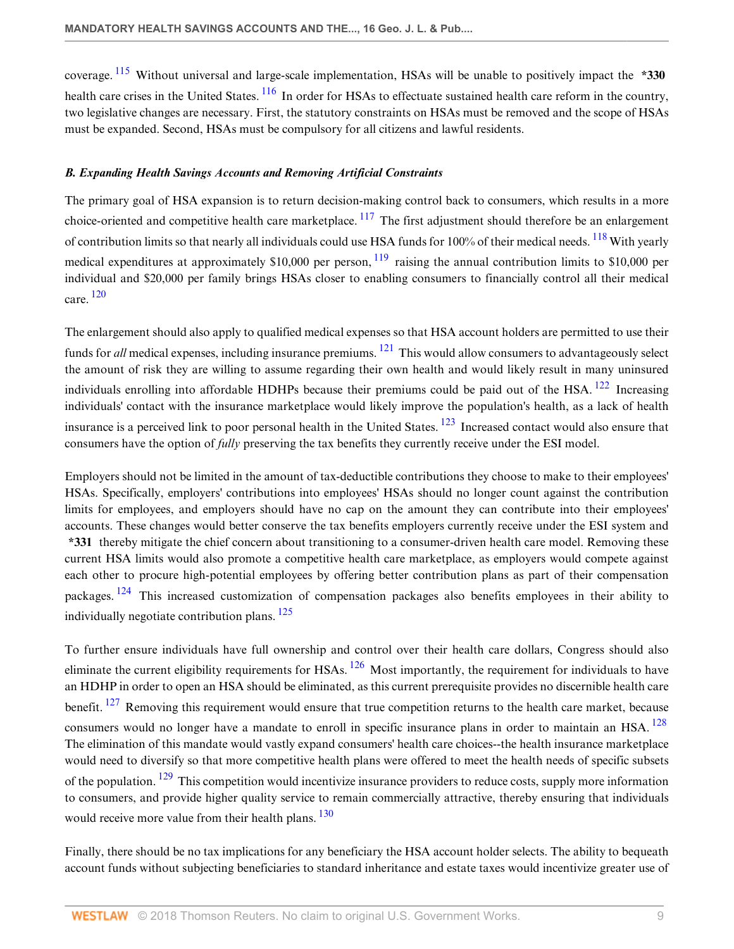<span id="page-8-2"></span><span id="page-8-1"></span>coverage. [115](#page-17-8) Without universal and large-scale implementation, HSAs will be unable to positively impact the **\*330** health care crises in the United States. <sup>[116](#page-17-9)</sup> In order for HSAs to effectuate sustained health care reform in the country, two legislative changes are necessary. First, the statutory constraints on HSAs must be removed and the scope of HSAs must be expanded. Second, HSAs must be compulsory for all citizens and lawful residents.

#### <span id="page-8-0"></span>*B. Expanding Health Savings Accounts and Removing Artificial Constraints*

<span id="page-8-5"></span><span id="page-8-4"></span><span id="page-8-3"></span>The primary goal of HSA expansion is to return decision-making control back to consumers, which results in a more choice-oriented and competitive health care marketplace.  $117$  The first adjustment should therefore be an enlargement of contribution limits so that nearly all individuals could use HSA funds for 100% of their medical needs. <sup>[118](#page-17-11)</sup> With yearly medical expenditures at approximately \$10,000 per person,  $^{119}$  $^{119}$  $^{119}$  raising the annual contribution limits to \$10,000 per individual and \$20,000 per family brings HSAs closer to enabling consumers to financially control all their medical care. [120](#page-17-13)

<span id="page-8-8"></span><span id="page-8-7"></span><span id="page-8-6"></span>The enlargement should also apply to qualified medical expenses so that HSA account holders are permitted to use their funds for *all* medical expenses, including insurance premiums. [121](#page-17-14) This would allow consumers to advantageously select the amount of risk they are willing to assume regarding their own health and would likely result in many uninsured individuals enrolling into affordable HDHPs because their premiums could be paid out of the HSA. <sup>[122](#page-17-15)</sup> Increasing individuals' contact with the insurance marketplace would likely improve the population's health, as a lack of health insurance is a perceived link to poor personal health in the United States. <sup>[123](#page-17-16)</sup> Increased contact would also ensure that consumers have the option of *fully* preserving the tax benefits they currently receive under the ESI model.

<span id="page-8-9"></span>Employers should not be limited in the amount of tax-deductible contributions they choose to make to their employees' HSAs. Specifically, employers' contributions into employees' HSAs should no longer count against the contribution limits for employees, and employers should have no cap on the amount they can contribute into their employees' accounts. These changes would better conserve the tax benefits employers currently receive under the ESI system and **\*331** thereby mitigate the chief concern about transitioning to a consumer-driven health care model. Removing these current HSA limits would also promote a competitive health care marketplace, as employers would compete against each other to procure high-potential employees by offering better contribution plans as part of their compensation packages. [124](#page-17-17) This increased customization of compensation packages also benefits employees in their ability to individually negotiate contribution plans.  $125$ 

<span id="page-8-14"></span><span id="page-8-13"></span><span id="page-8-12"></span><span id="page-8-11"></span><span id="page-8-10"></span>To further ensure individuals have full ownership and control over their health care dollars, Congress should also eliminate the current eligibility requirements for HSAs. <sup>[126](#page-17-19)</sup> Most importantly, the requirement for individuals to have an HDHP in order to open an HSA should be eliminated, as this current prerequisite provides no discernible health care benefit. <sup>[127](#page-17-20)</sup> Removing this requirement would ensure that true competition returns to the health care market, because consumers would no longer have a mandate to enroll in specific insurance plans in order to maintain an HSA. <sup>[128](#page-17-21)</sup> The elimination of this mandate would vastly expand consumers' health care choices--the health insurance marketplace would need to diversify so that more competitive health plans were offered to meet the health needs of specific subsets of the population.  $129$  This competition would incentivize insurance providers to reduce costs, supply more information to consumers, and provide higher quality service to remain commercially attractive, thereby ensuring that individuals would receive more value from their health plans. <sup>[130](#page-17-23)</sup>

<span id="page-8-16"></span><span id="page-8-15"></span>Finally, there should be no tax implications for any beneficiary the HSA account holder selects. The ability to bequeath account funds without subjecting beneficiaries to standard inheritance and estate taxes would incentivize greater use of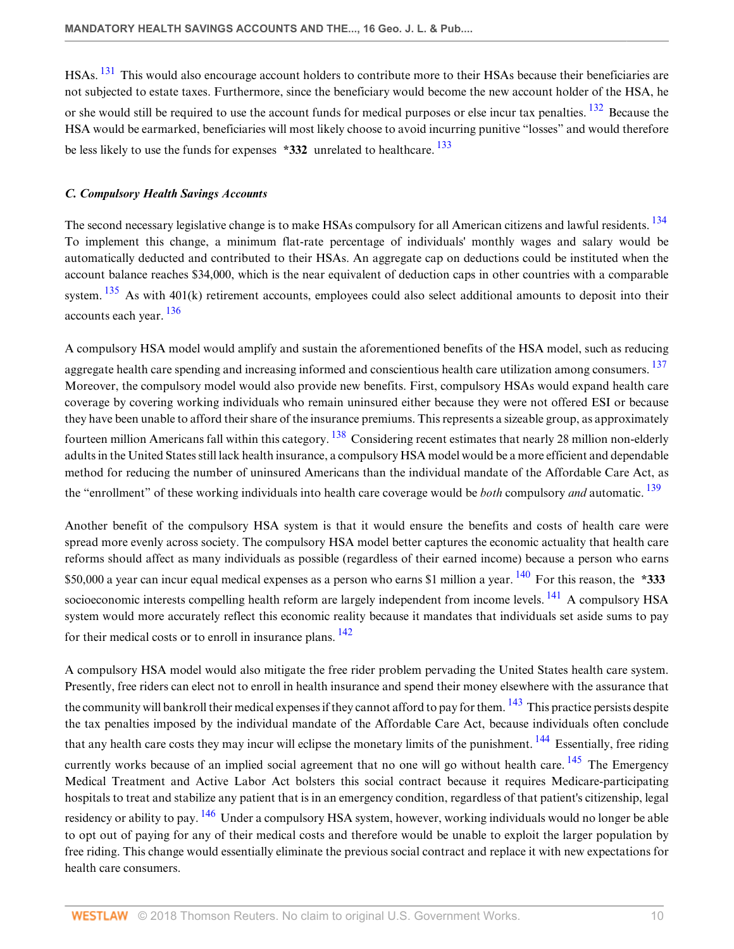<span id="page-9-2"></span><span id="page-9-1"></span>HSAs. [131](#page-17-24) This would also encourage account holders to contribute more to their HSAs because their beneficiaries are not subjected to estate taxes. Furthermore, since the beneficiary would become the new account holder of the HSA, he or she would still be required to use the account funds for medical purposes or else incur tax penalties. [132](#page-17-25) Because the HSA would be earmarked, beneficiaries will most likely choose to avoid incurring punitive "losses" and would therefore be less likely to use the funds for expenses **\*332** unrelated to healthcare. [133](#page-18-0)

#### <span id="page-9-4"></span><span id="page-9-3"></span><span id="page-9-0"></span>*C. Compulsory Health Savings Accounts*

The second necessary legislative change is to make HSAs compulsory for all American citizens and lawful residents. <sup>[134](#page-18-1)</sup> To implement this change, a minimum flat-rate percentage of individuals' monthly wages and salary would be automatically deducted and contributed to their HSAs. An aggregate cap on deductions could be instituted when the account balance reaches \$34,000, which is the near equivalent of deduction caps in other countries with a comparable system.  $135$  As with 401(k) retirement accounts, employees could also select additional amounts to deposit into their accounts each year. [136](#page-18-3)

<span id="page-9-8"></span><span id="page-9-7"></span><span id="page-9-6"></span><span id="page-9-5"></span>A compulsory HSA model would amplify and sustain the aforementioned benefits of the HSA model, such as reducing aggregate health care spending and increasing informed and conscientious health care utilization among consumers. <sup>[137](#page-18-4)</sup> Moreover, the compulsory model would also provide new benefits. First, compulsory HSAs would expand health care coverage by covering working individuals who remain uninsured either because they were not offered ESI or because they have been unable to afford their share of the insurance premiums. This represents a sizeable group, as approximately fourteen million Americans fall within this category. <sup>[138](#page-18-5)</sup> Considering recent estimates that nearly 28 million non-elderly adults in the United States still lack health insurance, a compulsory HSA model would be a more efficient and dependable method for reducing the number of uninsured Americans than the individual mandate of the Affordable Care Act, as the "enrollment" of these working individuals into health care coverage would be *both* compulsory *and* automatic. [139](#page-18-6)

<span id="page-9-11"></span><span id="page-9-10"></span><span id="page-9-9"></span>Another benefit of the compulsory HSA system is that it would ensure the benefits and costs of health care were spread more evenly across society. The compulsory HSA model better captures the economic actuality that health care reforms should affect as many individuals as possible (regardless of their earned income) because a person who earns \$50,000 a year can incur equal medical expenses as a person who earns \$1 million a year. [140](#page-18-7) For this reason, the **\*333** socioeconomic interests compelling health reform are largely independent from income levels. <sup>[141](#page-18-8)</sup> A compulsory HSA system would more accurately reflect this economic reality because it mandates that individuals set aside sums to pay for their medical costs or to enroll in insurance plans.  $^{142}$  $^{142}$  $^{142}$ 

<span id="page-9-16"></span><span id="page-9-15"></span><span id="page-9-14"></span><span id="page-9-13"></span><span id="page-9-12"></span>A compulsory HSA model would also mitigate the free rider problem pervading the United States health care system. Presently, free riders can elect not to enroll in health insurance and spend their money elsewhere with the assurance that the community will bankroll their medical expenses if they cannot afford to pay for them.  $^{143}$  $^{143}$  $^{143}$  This practice persists despite the tax penalties imposed by the individual mandate of the Affordable Care Act, because individuals often conclude that any health care costs they may incur will eclipse the monetary limits of the punishment. <sup>[144](#page-18-11)</sup> Essentially, free riding currently works because of an implied social agreement that no one will go without health care.  $145$  The Emergency Medical Treatment and Active Labor Act bolsters this social contract because it requires Medicare-participating hospitals to treat and stabilize any patient that is in an emergency condition, regardless of that patient's citizenship, legal residency or ability to pay. <sup>[146](#page-18-13)</sup> Under a compulsory HSA system, however, working individuals would no longer be able to opt out of paying for any of their medical costs and therefore would be unable to exploit the larger population by free riding. This change would essentially eliminate the previous social contract and replace it with new expectations for health care consumers.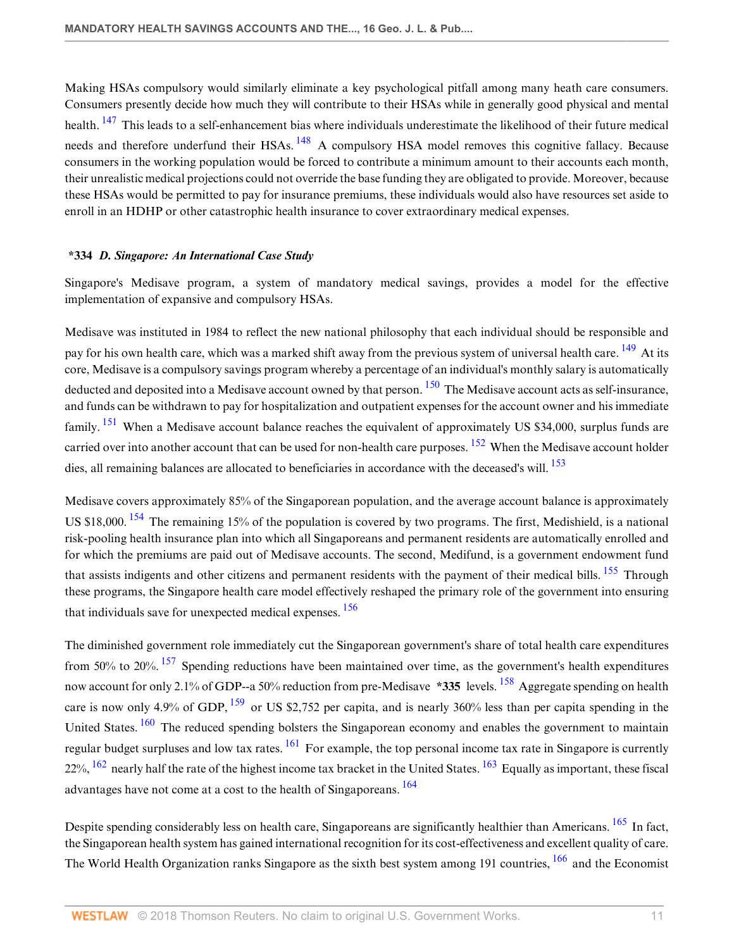<span id="page-10-2"></span><span id="page-10-1"></span>Making HSAs compulsory would similarly eliminate a key psychological pitfall among many heath care consumers. Consumers presently decide how much they will contribute to their HSAs while in generally good physical and mental health. <sup>[147](#page-18-14)</sup> This leads to a self-enhancement bias where individuals underestimate the likelihood of their future medical needs and therefore underfund their HSAs. <sup>[148](#page-18-15)</sup> A compulsory HSA model removes this cognitive fallacy. Because consumers in the working population would be forced to contribute a minimum amount to their accounts each month, their unrealistic medical projections could not override the base funding they are obligated to provide. Moreover, because these HSAs would be permitted to pay for insurance premiums, these individuals would also have resources set aside to enroll in an HDHP or other catastrophic health insurance to cover extraordinary medical expenses.

#### <span id="page-10-0"></span>**\*334** *D. Singapore: An International Case Study*

Singapore's Medisave program, a system of mandatory medical savings, provides a model for the effective implementation of expansive and compulsory HSAs.

<span id="page-10-4"></span><span id="page-10-3"></span>Medisave was instituted in 1984 to reflect the new national philosophy that each individual should be responsible and pay for his own health care, which was a marked shift away from the previous system of universal health care. <sup>[149](#page-18-16)</sup> At its core, Medisave is a compulsory savings program whereby a percentage of an individual's monthly salary is automatically deducted and deposited into a Medisave account owned by that person.  $150$  The Medisave account acts as self-insurance, and funds can be withdrawn to pay for hospitalization and outpatient expenses for the account owner and his immediate family. <sup>[151](#page-18-18)</sup> When a Medisave account balance reaches the equivalent of approximately US \$34,000, surplus funds are carried over into another account that can be used for non-health care purposes.  $152$  When the Medisave account holder dies, all remaining balances are allocated to beneficiaries in accordance with the deceased's will. <sup>[153](#page-18-20)</sup>

<span id="page-10-9"></span><span id="page-10-8"></span><span id="page-10-7"></span><span id="page-10-6"></span><span id="page-10-5"></span>Medisave covers approximately 85% of the Singaporean population, and the average account balance is approximately US \$18,000.<sup>[154](#page-18-21)</sup> The remaining 15% of the population is covered by two programs. The first, Medishield, is a national risk-pooling health insurance plan into which all Singaporeans and permanent residents are automatically enrolled and for which the premiums are paid out of Medisave accounts. The second, Medifund, is a government endowment fund that assists indigents and other citizens and permanent residents with the payment of their medical bills. <sup>[155](#page-18-22)</sup> Through these programs, the Singapore health care model effectively reshaped the primary role of the government into ensuring that individuals save for unexpected medical expenses. <sup>[156](#page-19-0)</sup>

<span id="page-10-14"></span><span id="page-10-13"></span><span id="page-10-12"></span><span id="page-10-11"></span><span id="page-10-10"></span>The diminished government role immediately cut the Singaporean government's share of total health care expenditures from 50% to 20%. <sup>[157](#page-19-1)</sup> Spending reductions have been maintained over time, as the government's health expenditures now account for only 2.1% of GDP--a 50% reduction from pre-Medisave **\*335** levels. [158](#page-19-2) Aggregate spending on health care is now only 4.9% of GDP,  $^{159}$  $^{159}$  $^{159}$  or US \$2,752 per capita, and is nearly 360% less than per capita spending in the United States. <sup>[160](#page-19-4)</sup> The reduced spending bolsters the Singaporean economy and enables the government to maintain regular budget surpluses and low tax rates.  $\frac{161}{16}$  $\frac{161}{16}$  $\frac{161}{16}$  For example, the top personal income tax rate in Singapore is currently  $22\%$ ,  $^{162}$  $^{162}$  $^{162}$  nearly half the rate of the highest income tax bracket in the United States.  $^{163}$  $^{163}$  $^{163}$  Equally as important, these fiscal advantages have not come at a cost to the health of Singaporeans. [164](#page-19-8)

<span id="page-10-20"></span><span id="page-10-19"></span><span id="page-10-18"></span><span id="page-10-17"></span><span id="page-10-16"></span><span id="page-10-15"></span>Despite spending considerably less on health care, Singaporeans are significantly healthier than Americans. <sup>[165](#page-19-9)</sup> In fact, the Singaporean health system has gained international recognition for its cost-effectiveness and excellent quality of care. The World Health Organization ranks Singapore as the sixth best system among 191 countries, <sup>[166](#page-19-10)</sup> and the Economist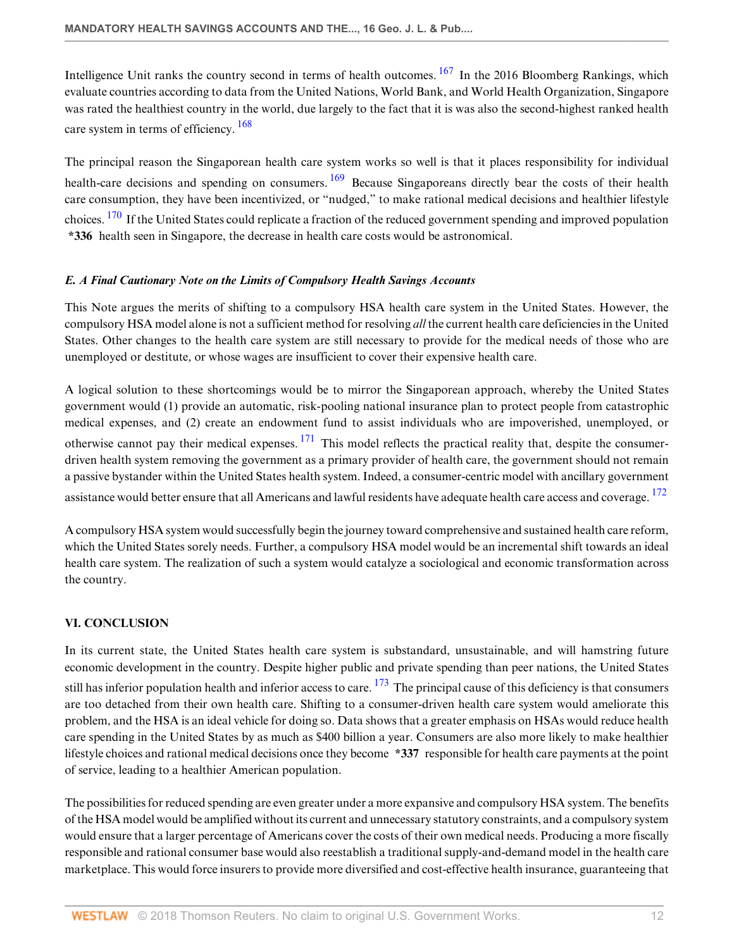<span id="page-11-2"></span>Intelligence Unit ranks the country second in terms of health outcomes.  $167$  In the 2016 Bloomberg Rankings, which evaluate countries according to data from the United Nations, World Bank, and World Health Organization, Singapore was rated the healthiest country in the world, due largely to the fact that it is was also the second-highest ranked health care system in terms of efficiency.  $\frac{168}{168}$  $\frac{168}{168}$  $\frac{168}{168}$ 

<span id="page-11-5"></span><span id="page-11-4"></span><span id="page-11-3"></span>The principal reason the Singaporean health care system works so well is that it places responsibility for individual health-care decisions and spending on consumers. <sup>[169](#page-19-13)</sup> Because Singaporeans directly bear the costs of their health care consumption, they have been incentivized, or "nudged," to make rational medical decisions and healthier lifestyle choices. <sup>[170](#page-19-14)</sup> If the United States could replicate a fraction of the reduced government spending and improved population **\*336** health seen in Singapore, the decrease in health care costs would be astronomical.

#### <span id="page-11-0"></span>*E. A Final Cautionary Note on the Limits of Compulsory Health Savings Accounts*

This Note argues the merits of shifting to a compulsory HSA health care system in the United States. However, the compulsory HSA model alone is not a sufficient method for resolving *all* the current health care deficiencies in the United States. Other changes to the health care system are still necessary to provide for the medical needs of those who are unemployed or destitute, or whose wages are insufficient to cover their expensive health care.

<span id="page-11-6"></span>A logical solution to these shortcomings would be to mirror the Singaporean approach, whereby the United States government would (1) provide an automatic, risk-pooling national insurance plan to protect people from catastrophic medical expenses, and (2) create an endowment fund to assist individuals who are impoverished, unemployed, or otherwise cannot pay their medical expenses.  $^{171}$  $^{171}$  $^{171}$  This model reflects the practical reality that, despite the consumerdriven health system removing the government as a primary provider of health care, the government should not remain a passive bystander within the United States health system. Indeed, a consumer-centric model with ancillary government assistance would better ensure that all Americans and lawful residents have adequate health care access and coverage. <sup>[172](#page-19-16)</sup>

<span id="page-11-7"></span>A compulsory HSA system would successfully begin the journey toward comprehensive and sustained health care reform, which the United States sorely needs. Further, a compulsory HSA model would be an incremental shift towards an ideal health care system. The realization of such a system would catalyze a sociological and economic transformation across the country.

# <span id="page-11-1"></span>**VI. CONCLUSION**

<span id="page-11-8"></span>In its current state, the United States health care system is substandard, unsustainable, and will hamstring future economic development in the country. Despite higher public and private spending than peer nations, the United States still has inferior population health and inferior access to care.  $173$  The principal cause of this deficiency is that consumers are too detached from their own health care. Shifting to a consumer-driven health care system would ameliorate this problem, and the HSA is an ideal vehicle for doing so. Data shows that a greater emphasis on HSAs would reduce health care spending in the United States by as much as \$400 billion a year. Consumers are also more likely to make healthier lifestyle choices and rational medical decisions once they become **\*337** responsible for health care payments at the point of service, leading to a healthier American population.

The possibilities for reduced spending are even greater under a more expansive and compulsory HSA system. The benefits of the HSA model would be amplified without its current and unnecessary statutory constraints, and a compulsory system would ensure that a larger percentage of Americans cover the costs of their own medical needs. Producing a more fiscally responsible and rational consumer base would also reestablish a traditional supply-and-demand model in the health care marketplace. This would force insurers to provide more diversified and cost-effective health insurance, guaranteeing that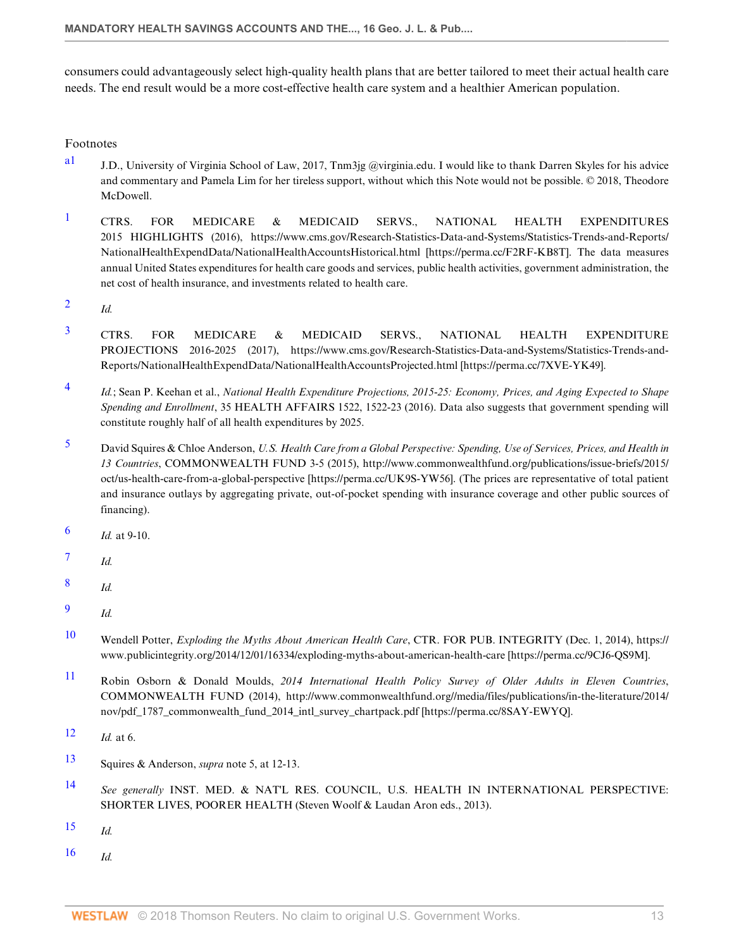consumers could advantageously select high-quality health plans that are better tailored to meet their actual health care needs. The end result would be a more cost-effective health care system and a healthier American population.

Footnotes

- <span id="page-12-0"></span>a<sup>1</sup> J.D., University of Virginia School of Law, 2017, Tnm3jg @virginia.edu. I would like to thank Darren Skyles for his advice and commentary and Pamela Lim for her tireless support, without which this Note would not be possible. © 2018, Theodore McDowell.
- <span id="page-12-1"></span><sup>[1](#page-1-2)</sup> CTRS. FOR MEDICARE & MEDICAID SERVS., NATIONAL HEALTH EXPENDITURES 2015 HIGHLIGHTS (2016), https://www.cms.gov/Research-Statistics-Data-and-Systems/Statistics-Trends-and-Reports/ NationalHealthExpendData/NationalHealthAccountsHistorical.html [https://perma.cc/F2RF-KB8T]. The data measures annual United States expenditures for health care goods and services, public health activities, government administration, the net cost of health insurance, and investments related to health care.
- <span id="page-12-2"></span>[2](#page-1-3) *Id.*
- <span id="page-12-3"></span> $3$  CTRS. FOR MEDICARE & MEDICAID SERVS., NATIONAL HEALTH EXPENDITURE PROJECTIONS 2016-2025 (2017), https://www.cms.gov/Research-Statistics-Data-and-Systems/Statistics-Trends-and-Reports/NationalHealthExpendData/NationalHealthAccountsProjected.html [https://perma.cc/7XVE-YK49].
- <span id="page-12-4"></span>[4](#page-1-5) *Id.*; Sean P. Keehan et al., *National Health Expenditure Projections, 2015-25: Economy, Prices, and Aging Expected to Shape Spending and Enrollment*, 35 HEALTH AFFAIRS 1522, 1522-23 (2016). Data also suggests that government spending will constitute roughly half of all health expenditures by 2025.
- <span id="page-12-5"></span>[5](#page-1-6) David Squires & Chloe Anderson, *U.S. Health Care from a Global Perspective: Spending, Use of Services, Prices, and Health in 13 Countries*, COMMONWEALTH FUND 3-5 (2015), http://www.commonwealthfund.org/publications/issue-briefs/2015/ oct/us-health-care-from-a-global-perspective [https://perma.cc/UK9S-YW56]. (The prices are representative of total patient and insurance outlays by aggregating private, out-of-pocket spending with insurance coverage and other public sources of financing).
- <span id="page-12-6"></span>[6](#page-1-7) *Id.* at 9-10.
- <span id="page-12-7"></span>[7](#page-1-8) *Id.*
- <span id="page-12-8"></span>[8](#page-1-9) *Id.*
- <span id="page-12-9"></span>[9](#page-1-10) *Id.*
- <span id="page-12-10"></span>[10](#page-1-11) Wendell Potter, *Exploding the Myths About American Health Care*, CTR. FOR PUB. INTEGRITY (Dec. 1, 2014), https:// www.publicintegrity.org/2014/12/01/16334/exploding-myths-about-american-health-care [https://perma.cc/9CJ6-QS9M].
- <span id="page-12-11"></span>[11](#page-1-12) Robin Osborn & Donald Moulds, *2014 International Health Policy Survey of Older Adults in Eleven Countries*, COMMONWEALTH FUND (2014), http://www.commonwealthfund.org//media/files/publications/in-the-literature/2014/ nov/pdf\_1787\_commonwealth\_fund\_2014\_intl\_survey\_chartpack.pdf [https://perma.cc/8SAY-EWYQ].
- <span id="page-12-12"></span>[12](#page-1-13) *Id.* at 6.
- <span id="page-12-13"></span>[13](#page-1-14) Squires & Anderson, *supra* note 5, at 12-13.
- <span id="page-12-14"></span>[14](#page-1-15) *See generally* INST. MED. & NAT'L RES. COUNCIL, U.S. HEALTH IN INTERNATIONAL PERSPECTIVE: SHORTER LIVES, POORER HEALTH (Steven Woolf & Laudan Aron eds., 2013).
- <span id="page-12-15"></span>[15](#page-1-16) *Id.*
- <span id="page-12-16"></span> $16$  *Id.*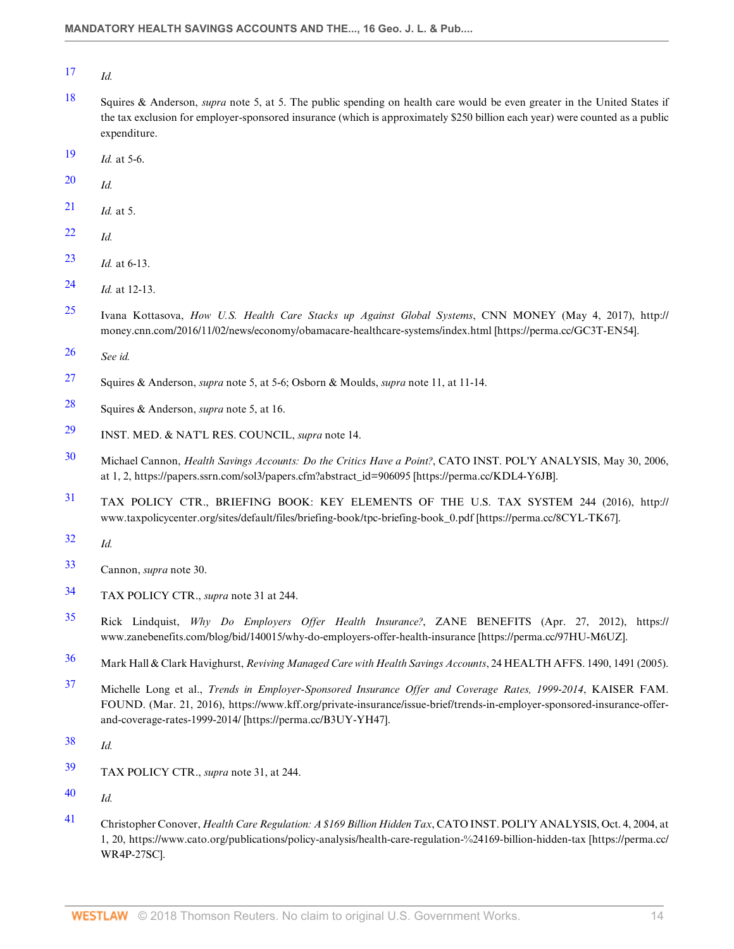<span id="page-13-0"></span>*Id.*

- <span id="page-13-1"></span> Squires & Anderson, *supra* note 5, at 5. The public spending on health care would be even greater in the United States if the tax exclusion for employer-sponsored insurance (which is approximately \$250 billion each year) were counted as a public expenditure.
- <span id="page-13-2"></span>*Id.* at 5-6.
- <span id="page-13-3"></span>*Id.*
- <span id="page-13-4"></span>*Id.* at 5.
- <span id="page-13-5"></span>*Id.*
- <span id="page-13-6"></span>*Id.* at 6-13.
- <span id="page-13-7"></span>*Id.* at 12-13.
- <span id="page-13-8"></span> Ivana Kottasova, *How U.S. Health Care Stacks up Against Global Systems*, CNN MONEY (May 4, 2017), http:// money.cnn.com/2016/11/02/news/economy/obamacare-healthcare-systems/index.html [https://perma.cc/GC3T-EN54].
- <span id="page-13-9"></span>*See id.*
- <span id="page-13-10"></span>Squires & Anderson, *supra* note 5, at 5-6; Osborn & Moulds, *supra* note 11, at 11-14.
- <span id="page-13-11"></span>Squires & Anderson, *supra* note 5, at 16.
- <span id="page-13-12"></span>INST. MED. & NAT'L RES. COUNCIL, *supra* note 14.
- <span id="page-13-13"></span> Michael Cannon, *Health Savings Accounts: Do the Critics Have a Point?*, CATO INST. POL'Y ANALYSIS, May 30, 2006, at 1, 2, https://papers.ssrn.com/sol3/papers.cfm?abstract\_id=906095 [https://perma.cc/KDL4-Y6JB].
- <span id="page-13-14"></span> TAX POLICY CTR., BRIEFING BOOK: KEY ELEMENTS OF THE U.S. TAX SYSTEM 244 (2016), http:// www.taxpolicycenter.org/sites/default/files/briefing-book/tpc-briefing-book\_0.pdf [https://perma.cc/8CYL-TK67].
- <span id="page-13-15"></span>*Id.*
- <span id="page-13-16"></span>Cannon, *supra* note 30.
- <span id="page-13-17"></span>TAX POLICY CTR., *supra* note 31 at 244.
- <span id="page-13-18"></span> Rick Lindquist, *Why Do Employers Offer Health Insurance?*, ZANE BENEFITS (Apr. 27, 2012), https:// www.zanebenefits.com/blog/bid/140015/why-do-employers-offer-health-insurance [https://perma.cc/97HU-M6UZ].
- <span id="page-13-19"></span>Mark Hall & Clark Havighurst, *Reviving Managed Care with Health Savings Accounts*, 24 HEALTH AFFS. 1490, 1491 (2005).
- <span id="page-13-20"></span> Michelle Long et al., *Trends in Employer-Sponsored Insurance Offer and Coverage Rates, 1999-2014*, KAISER FAM. FOUND. (Mar. 21, 2016), https://www.kff.org/private-insurance/issue-brief/trends-in-employer-sponsored-insurance-offerand-coverage-rates-1999-2014/ [https://perma.cc/B3UY-YH47].
- <span id="page-13-21"></span>*Id.*
- <span id="page-13-22"></span>TAX POLICY CTR., *supra* note 31, at 244.
- <span id="page-13-23"></span>*Id.*
- <span id="page-13-24"></span> Christopher Conover, *Health Care Regulation: A \$169 Billion Hidden Tax*, CATO INST. POLI'Y ANALYSIS, Oct. 4, 2004, at 1, 20, https://www.cato.org/publications/policy-analysis/health-care-regulation-%24169-billion-hidden-tax [https://perma.cc/ WR4P-27SC].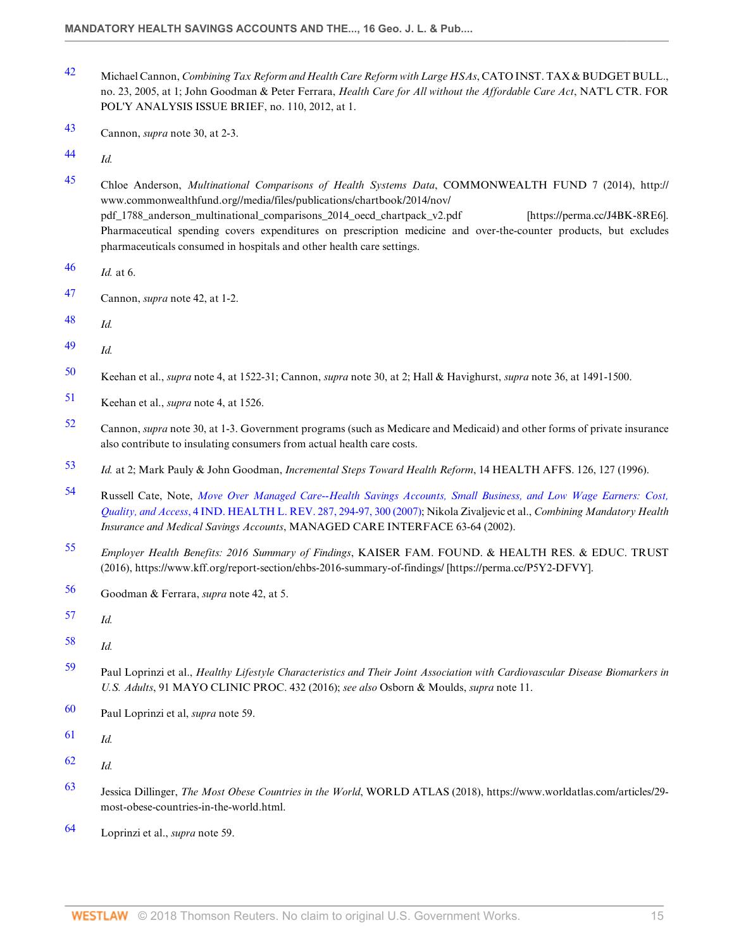- <span id="page-14-0"></span> Michael Cannon, *Combining Tax Reform and Health Care Reform with Large HSAs*, CATO INST. TAX & BUDGET BULL., no. 23, 2005, at 1; John Goodman & Peter Ferrara, *Health Care for All without the Affordable Care Act*, NAT'L CTR. FOR POL'Y ANALYSIS ISSUE BRIEF, no. 110, 2012, at 1.
- <span id="page-14-1"></span>Cannon, *supra* note 30, at 2-3.

<span id="page-14-2"></span>*Id.*

- <span id="page-14-3"></span> Chloe Anderson, *Multinational Comparisons of Health Systems Data*, COMMONWEALTH FUND 7 (2014), http:// www.commonwealthfund.org//media/files/publications/chartbook/2014/nov/ pdf\_1788\_anderson\_multinational\_comparisons\_2014\_oecd\_chartpack\_v2.pdf [https://perma.cc/J4BK-8RE6]. Pharmaceutical spending covers expenditures on prescription medicine and over-the-counter products, but excludes pharmaceuticals consumed in hospitals and other health care settings.
- <span id="page-14-4"></span>*Id.* at 6.
- <span id="page-14-5"></span>Cannon, *supra* note 42, at 1-2.
- <span id="page-14-6"></span>*Id.*
- <span id="page-14-7"></span>*Id.*
- <span id="page-14-8"></span>Keehan et al., *supra* note 4, at 1522-31; Cannon, *supra* note 30, at 2; Hall & Havighurst, *supra* note 36, at 1491-1500.
- <span id="page-14-9"></span>Keehan et al., *supra* note 4, at 1526.
- <span id="page-14-10"></span> Cannon, *supra* note 30, at 1-3. Government programs (such as Medicare and Medicaid) and other forms of private insurance also contribute to insulating consumers from actual health care costs.
- <span id="page-14-11"></span>*Id.* at 2; Mark Pauly & John Goodman, *Incremental Steps Toward Health Reform*, 14 HEALTH AFFS. 126, 127 (1996).
- <span id="page-14-12"></span> Russell Cate, Note, *[Move Over Managed Care--Health Savings Accounts, Small Business, and Low Wage Earners: Cost,](http://www.westlaw.com/Link/Document/FullText?findType=Y&serNum=0335526924&pubNum=0176220&originatingDoc=Ie4b058f32bd911e89bf099c0ee06c731&refType=LR&fi=co_pp_sp_176220_294&originationContext=document&vr=3.0&rs=cblt1.0&transitionType=DocumentItem&contextData=(sc.Default)#co_pp_sp_176220_294) Quality, and Access*[, 4 IND. HEALTH L. REV. 287, 294-97, 300 \(2007\);](http://www.westlaw.com/Link/Document/FullText?findType=Y&serNum=0335526924&pubNum=0176220&originatingDoc=Ie4b058f32bd911e89bf099c0ee06c731&refType=LR&fi=co_pp_sp_176220_294&originationContext=document&vr=3.0&rs=cblt1.0&transitionType=DocumentItem&contextData=(sc.Default)#co_pp_sp_176220_294) Nikola Zivaljevic et al., *Combining Mandatory Health Insurance and Medical Savings Accounts*, MANAGED CARE INTERFACE 63-64 (2002).
- <span id="page-14-13"></span> *Employer Health Benefits: 2016 Summary of Findings*, KAISER FAM. FOUND. & HEALTH RES. & EDUC. TRUST (2016), https://www.kff.org/report-section/ehbs-2016-summary-of-findings/ [https://perma.cc/P5Y2-DFVY].
- <span id="page-14-14"></span>Goodman & Ferrara, *supra* note 42, at 5.
- <span id="page-14-15"></span>*Id.*
- <span id="page-14-16"></span>*Id.*
- <span id="page-14-17"></span> Paul Loprinzi et al., *Healthy Lifestyle Characteristics and Their Joint Association with Cardiovascular Disease Biomarkers in U.S. Adults*, 91 MAYO CLINIC PROC. 432 (2016); *see also* Osborn & Moulds, *supra* note 11.
- <span id="page-14-18"></span>Paul Loprinzi et al, *supra* note 59.
- <span id="page-14-19"></span>*Id.*
- <span id="page-14-20"></span>*Id.*
- <span id="page-14-21"></span> Jessica Dillinger, *The Most Obese Countries in the World*, WORLD ATLAS (2018), https://www.worldatlas.com/articles/29 most-obese-countries-in-the-world.html.
- <span id="page-14-22"></span>Loprinzi et al., *supra* note 59.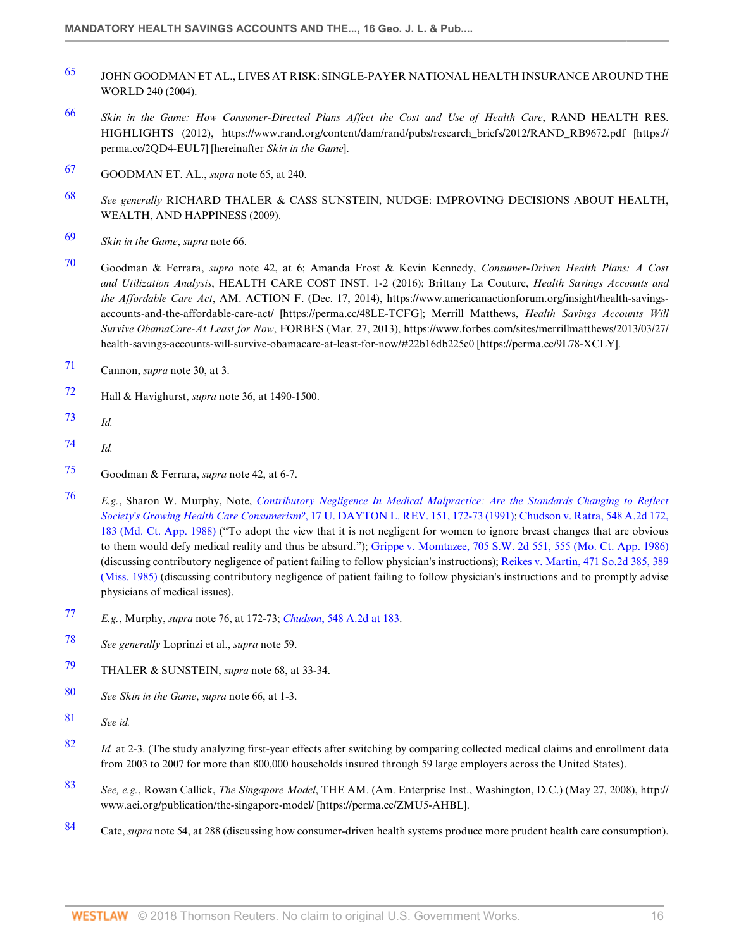- <span id="page-15-0"></span>[65](#page-4-15) JOHN GOODMAN ET AL., LIVES AT RISK: SINGLE-PAYER NATIONAL HEALTH INSURANCE AROUND THE WORLD 240 (2004).
- <span id="page-15-1"></span>[66](#page-4-16) *Skin in the Game: How Consumer-Directed Plans Affect the Cost and Use of Health Care*, RAND HEALTH RES. HIGHLIGHTS (2012), https://www.rand.org/content/dam/rand/pubs/research\_briefs/2012/RAND\_RB9672.pdf [https:// perma.cc/2QD4-EUL7] [hereinafter *Skin in the Game*].
- <span id="page-15-2"></span>[67](#page-4-17) GOODMAN ET. AL., *supra* note 65, at 240.
- <span id="page-15-3"></span>[68](#page-5-1) *See generally* RICHARD THALER & CASS SUNSTEIN, NUDGE: IMPROVING DECISIONS ABOUT HEALTH, WEALTH, AND HAPPINESS (2009).
- <span id="page-15-4"></span>[69](#page-5-2) *Skin in the Game*, *supra* note 66.
- <span id="page-15-5"></span>[70](#page-5-3) Goodman & Ferrara, *supra* note 42, at 6; Amanda Frost & Kevin Kennedy, *Consumer-Driven Health Plans: A Cost and Utilization Analysis*, HEALTH CARE COST INST. 1-2 (2016); Brittany La Couture, *Health Savings Accounts and the Affordable Care Act*, AM. ACTION F. (Dec. 17, 2014), https://www.americanactionforum.org/insight/health-savingsaccounts-and-the-affordable-care-act/ [https://perma.cc/48LE-TCFG]; Merrill Matthews, *Health Savings Accounts Will Survive ObamaCare-At Least for Now*, FORBES (Mar. 27, 2013), https://www.forbes.com/sites/merrillmatthews/2013/03/27/ health-savings-accounts-will-survive-obamacare-at-least-for-now/#22b16db225e0 [https://perma.cc/9L78-XCLY].
- <span id="page-15-6"></span>[71](#page-5-4) Cannon, *supra* note 30, at 3.
- <span id="page-15-7"></span>[72](#page-5-5) Hall & Havighurst, *supra* note 36, at 1490-1500.
- <span id="page-15-8"></span>[73](#page-5-6) *Id.*
- <span id="page-15-9"></span>[74](#page-5-7) *Id.*
- <span id="page-15-10"></span>[75](#page-5-8) Goodman & Ferrara, *supra* note 42, at 6-7.
- <span id="page-15-11"></span>[76](#page-5-9) *E.g.*, Sharon W. Murphy, Note, *[Contributory Negligence In Medical Malpractice: Are the Standards Changing to Reflect](http://www.westlaw.com/Link/Document/FullText?findType=Y&serNum=0101999330&pubNum=0001261&originatingDoc=Ie4b058f32bd911e89bf099c0ee06c731&refType=LR&fi=co_pp_sp_1261_172&originationContext=document&vr=3.0&rs=cblt1.0&transitionType=DocumentItem&contextData=(sc.Default)#co_pp_sp_1261_172) Society's Growing Health Care Consumerism?*[, 17 U. DAYTON L. REV. 151, 172-73 \(1991\)](http://www.westlaw.com/Link/Document/FullText?findType=Y&serNum=0101999330&pubNum=0001261&originatingDoc=Ie4b058f32bd911e89bf099c0ee06c731&refType=LR&fi=co_pp_sp_1261_172&originationContext=document&vr=3.0&rs=cblt1.0&transitionType=DocumentItem&contextData=(sc.Default)#co_pp_sp_1261_172); [Chudson v. Ratra, 548 A.2d 172,](http://www.westlaw.com/Link/Document/FullText?findType=Y&serNum=1988130542&pubNum=0000162&originatingDoc=Ie4b058f32bd911e89bf099c0ee06c731&refType=RP&fi=co_pp_sp_162_183&originationContext=document&vr=3.0&rs=cblt1.0&transitionType=DocumentItem&contextData=(sc.Default)#co_pp_sp_162_183) [183 \(Md. Ct. App. 1988\)](http://www.westlaw.com/Link/Document/FullText?findType=Y&serNum=1988130542&pubNum=0000162&originatingDoc=Ie4b058f32bd911e89bf099c0ee06c731&refType=RP&fi=co_pp_sp_162_183&originationContext=document&vr=3.0&rs=cblt1.0&transitionType=DocumentItem&contextData=(sc.Default)#co_pp_sp_162_183) ("To adopt the view that it is not negligent for women to ignore breast changes that are obvious to them would defy medical reality and thus be absurd."); [Grippe v. Momtazee, 705 S.W. 2d 551, 555 \(Mo. Ct. App. 1986\)](http://www.westlaw.com/Link/Document/FullText?findType=Y&serNum=1986107702&pubNum=0000713&originatingDoc=Ie4b058f32bd911e89bf099c0ee06c731&refType=RP&fi=co_pp_sp_713_555&originationContext=document&vr=3.0&rs=cblt1.0&transitionType=DocumentItem&contextData=(sc.Default)#co_pp_sp_713_555) (discussing contributory negligence of patient failing to follow physician's instructions); [Reikes v. Martin, 471 So.2d 385, 389](http://www.westlaw.com/Link/Document/FullText?findType=Y&serNum=1985128582&pubNum=0000735&originatingDoc=Ie4b058f32bd911e89bf099c0ee06c731&refType=RP&fi=co_pp_sp_735_389&originationContext=document&vr=3.0&rs=cblt1.0&transitionType=DocumentItem&contextData=(sc.Default)#co_pp_sp_735_389) [\(Miss. 1985\)](http://www.westlaw.com/Link/Document/FullText?findType=Y&serNum=1985128582&pubNum=0000735&originatingDoc=Ie4b058f32bd911e89bf099c0ee06c731&refType=RP&fi=co_pp_sp_735_389&originationContext=document&vr=3.0&rs=cblt1.0&transitionType=DocumentItem&contextData=(sc.Default)#co_pp_sp_735_389) (discussing contributory negligence of patient failing to follow physician's instructions and to promptly advise physicians of medical issues).
- <span id="page-15-12"></span>[77](#page-5-10) *E.g.*, Murphy, *supra* note 76, at 172-73; *Chudson*[, 548 A.2d at 183](http://www.westlaw.com/Link/Document/FullText?findType=Y&serNum=1988130542&pubNum=0000162&originatingDoc=Ie4b058f32bd911e89bf099c0ee06c731&refType=RP&fi=co_pp_sp_162_183&originationContext=document&vr=3.0&rs=cblt1.0&transitionType=DocumentItem&contextData=(sc.Default)#co_pp_sp_162_183).
- <span id="page-15-13"></span>[78](#page-5-11) *See generally* Loprinzi et al., *supra* note 59.
- <span id="page-15-14"></span>[79](#page-5-12) THALER & SUNSTEIN, *supra* note 68, at 33-34.
- <span id="page-15-15"></span>[80](#page-5-13) *See Skin in the Game*, *supra* note 66, at 1-3.
- <span id="page-15-16"></span>[81](#page-5-14) *See id.*
- <span id="page-15-17"></span>[82](#page-5-15) *Id.* at 2-3. (The study analyzing first-year effects after switching by comparing collected medical claims and enrollment data from 2003 to 2007 for more than 800,000 households insured through 59 large employers across the United States).
- <span id="page-15-18"></span>[83](#page-6-3) *See, e.g.*, Rowan Callick, *The Singapore Model*, THE AM. (Am. Enterprise Inst., Washington, D.C.) (May 27, 2008), http:// www.aei.org/publication/the-singapore-model/ [https://perma.cc/ZMU5-AHBL].
- <span id="page-15-19"></span>[84](#page-6-4) Cate, *supra* note 54, at 288 (discussing how consumer-driven health systems produce more prudent health care consumption).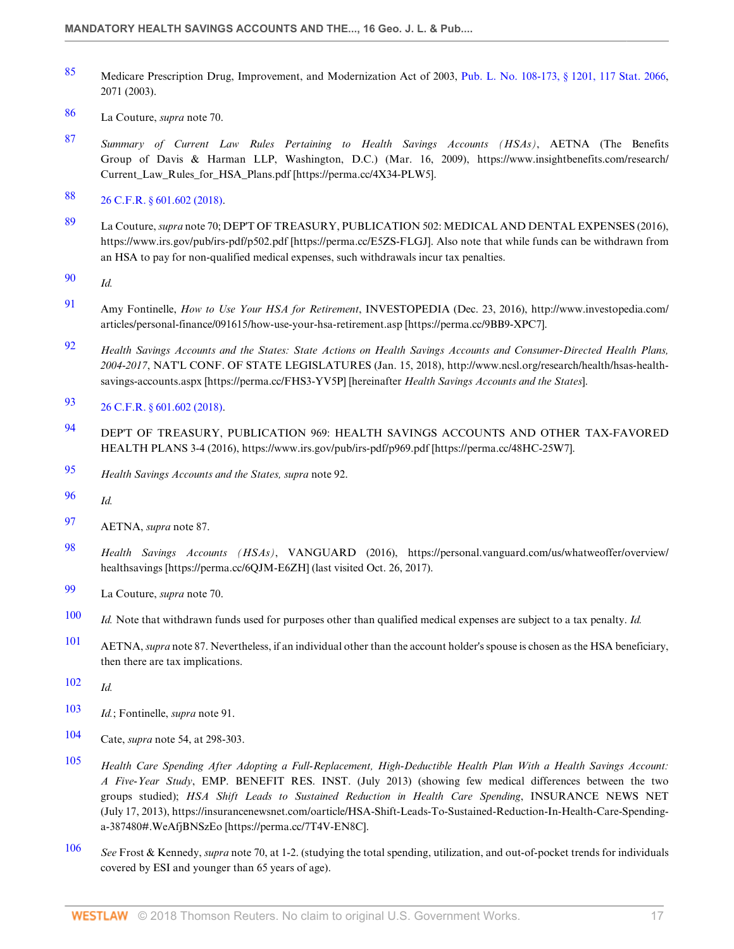- <span id="page-16-0"></span>[85](#page-6-5) Medicare Prescription Drug, Improvement, and Modernization Act of 2003, [Pub. L. No. 108-173, § 1201, 117 Stat. 2066,](http://www.westlaw.com/Link/Document/FullText?findType=l&pubNum=1077005&cite=UUID(IAD8DA5DB03-D4438C99E4B-5B321B98D02)&originatingDoc=Ie4b058f32bd911e89bf099c0ee06c731&refType=SL&originationContext=document&vr=3.0&rs=cblt1.0&transitionType=DocumentItem&contextData=(sc.Default)) 2071 (2003).
- <span id="page-16-1"></span>[86](#page-6-6) La Couture, *supra* note 70.
- <span id="page-16-2"></span>[87](#page-6-7) *Summary of Current Law Rules Pertaining to Health Savings Accounts (HSAs)*, AETNA (The Benefits Group of Davis & Harman LLP, Washington, D.C.) (Mar. 16, 2009), https://www.insightbenefits.com/research/ Current\_Law\_Rules\_for\_HSA\_Plans.pdf [https://perma.cc/4X34-PLW5].
- <span id="page-16-3"></span>[88](#page-6-8) [26 C.F.R. § 601.602 \(2018\).](http://www.westlaw.com/Link/Document/FullText?findType=L&pubNum=1000547&cite=26CFRS601.602&originatingDoc=Ie4b058f32bd911e89bf099c0ee06c731&refType=LQ&originationContext=document&vr=3.0&rs=cblt1.0&transitionType=DocumentItem&contextData=(sc.Default))
- <span id="page-16-4"></span>[89](#page-6-9) La Couture, *supra* note 70; DEP'T OF TREASURY, PUBLICATION 502: MEDICAL AND DENTAL EXPENSES (2016), https://www.irs.gov/pub/irs-pdf/p502.pdf [https://perma.cc/E5ZS-FLGJ]. Also note that while funds can be withdrawn from an HSA to pay for non-qualified medical expenses, such withdrawals incur tax penalties.
- <span id="page-16-5"></span>[90](#page-6-10) *Id.*
- <span id="page-16-6"></span>[91](#page-6-11) Amy Fontinelle, *How to Use Your HSA for Retirement*, INVESTOPEDIA (Dec. 23, 2016), http://www.investopedia.com/ articles/personal-finance/091615/how-use-your-hsa-retirement.asp [https://perma.cc/9BB9-XPC7].
- <span id="page-16-7"></span>[92](#page-6-12) *Health Savings Accounts and the States: State Actions on Health Savings Accounts and Consumer-Directed Health Plans, 2004-2017*, NAT'L CONF. OF STATE LEGISLATURES (Jan. 15, 2018), http://www.ncsl.org/research/health/hsas-healthsavings-accounts.aspx [https://perma.cc/FHS3-YV5P] [hereinafter *Health Savings Accounts and the States*].
- <span id="page-16-8"></span>[93](#page-6-13) [26 C.F.R. § 601.602 \(2018\).](http://www.westlaw.com/Link/Document/FullText?findType=L&pubNum=1000547&cite=26CFRS601.602&originatingDoc=Ie4b058f32bd911e89bf099c0ee06c731&refType=LQ&originationContext=document&vr=3.0&rs=cblt1.0&transitionType=DocumentItem&contextData=(sc.Default))
- <span id="page-16-9"></span>[94](#page-6-14) DEP'T OF TREASURY, PUBLICATION 969: HEALTH SAVINGS ACCOUNTS AND OTHER TAX-FAVORED HEALTH PLANS 3-4 (2016), https://www.irs.gov/pub/irs-pdf/p969.pdf [https://perma.cc/48HC-25W7].
- <span id="page-16-10"></span>[95](#page-6-15) *Health Savings Accounts and the States, supra* note 92.
- <span id="page-16-11"></span>[96](#page-6-16) *Id.*
- <span id="page-16-12"></span>[97](#page-6-17) AETNA, *supra* note 87.
- <span id="page-16-13"></span>[98](#page-6-18) *Health Savings Accounts (HSAs)*, VANGUARD (2016), https://personal.vanguard.com/us/whatweoffer/overview/ healthsavings [https://perma.cc/6QJM-E6ZH] (last visited Oct. 26, 2017).
- <span id="page-16-14"></span>[99](#page-6-19) La Couture, *supra* note 70.
- <span id="page-16-15"></span>[100](#page-6-20) *Id.* Note that withdrawn funds used for purposes other than qualified medical expenses are subject to a tax penalty. *Id.*
- <span id="page-16-16"></span>[101](#page-6-21) AETNA, *supra* note 87. Nevertheless, if an individual other than the account holder's spouse is chosen as the HSA beneficiary, then there are tax implications.
- <span id="page-16-17"></span>[102](#page-6-22) *Id.*
- <span id="page-16-18"></span>[103](#page-6-23) *Id.*; Fontinelle, *supra* note 91.
- <span id="page-16-19"></span>[104](#page-7-3) Cate, *supra* note 54, at 298-303.
- <span id="page-16-20"></span>[105](#page-7-4) *Health Care Spending After Adopting a Full-Replacement, High-Deductible Health Plan With a Health Savings Account: A Five-Year Study*, EMP. BENEFIT RES. INST. (July 2013) (showing few medical differences between the two groups studied); *HSA Shift Leads to Sustained Reduction in Health Care Spending*, INSURANCE NEWS NET (July 17, 2013), https://insurancenewsnet.com/oarticle/HSA-Shift-Leads-To-Sustained-Reduction-In-Health-Care-Spendinga-387480#.WeAfjBNSzEo [https://perma.cc/7T4V-EN8C].
- <span id="page-16-21"></span>[106](#page-7-5) *See* Frost & Kennedy, *supra* note 70, at 1-2. (studying the total spending, utilization, and out-of-pocket trends for individuals covered by ESI and younger than 65 years of age).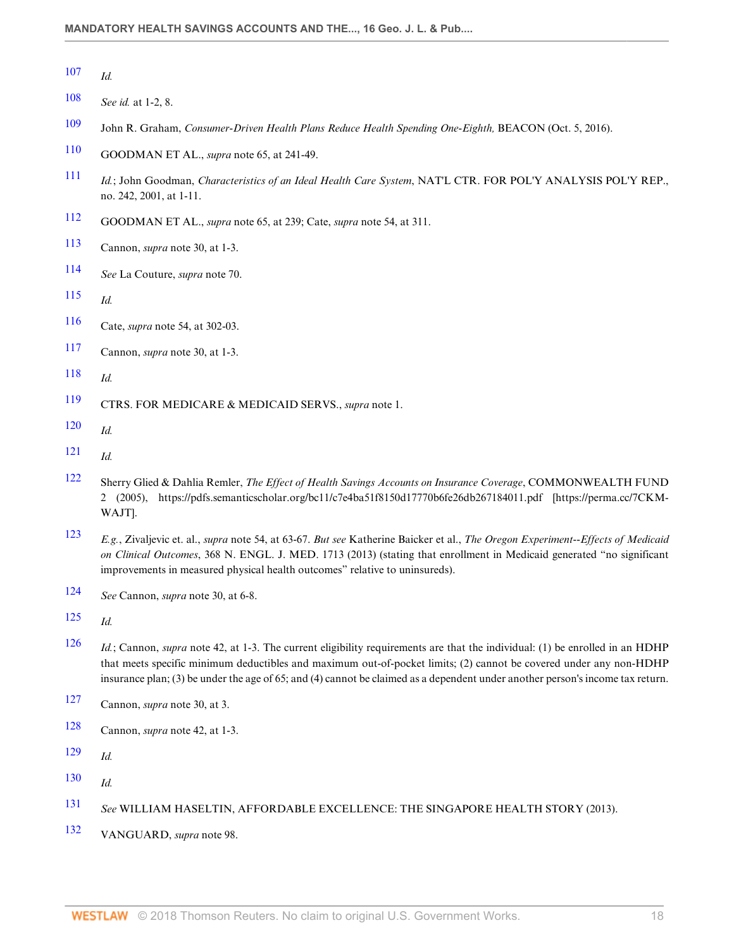- <span id="page-17-0"></span>*Id.*
- <span id="page-17-1"></span>*See id.* at 1-2, 8.
- <span id="page-17-2"></span>John R. Graham, *Consumer-Driven Health Plans Reduce Health Spending One-Eighth,* BEACON (Oct. 5, 2016).
- <span id="page-17-3"></span>GOODMAN ET AL., *supra* note 65, at 241-49.
- <span id="page-17-4"></span> *Id.*; John Goodman, *Characteristics of an Ideal Health Care System*, NAT'L CTR. FOR POL'Y ANALYSIS POL'Y REP., no. 242, 2001, at 1-11.
- <span id="page-17-5"></span>GOODMAN ET AL., *supra* note 65, at 239; Cate, *supra* note 54, at 311.
- <span id="page-17-6"></span>Cannon, *supra* note 30, at 1-3.
- <span id="page-17-7"></span>*See* La Couture, *supra* note 70.
- <span id="page-17-8"></span>*Id.*
- <span id="page-17-9"></span>Cate, *supra* note 54, at 302-03.
- <span id="page-17-10"></span>Cannon, *supra* note 30, at 1-3.
- <span id="page-17-11"></span>*Id.*
- <span id="page-17-12"></span>CTRS. FOR MEDICARE & MEDICAID SERVS., *supra* note 1.
- <span id="page-17-13"></span>*Id.*
- <span id="page-17-14"></span>*Id.*
- <span id="page-17-15"></span> Sherry Glied & Dahlia Remler, *The Effect of Health Savings Accounts on Insurance Coverage*, COMMONWEALTH FUND 2 (2005), https://pdfs.semanticscholar.org/bc11/c7e4ba51f8150d17770b6fe26db267184011.pdf [https://perma.cc/7CKM-WAJT].
- <span id="page-17-16"></span> *E.g.*, Zivaljevic et. al., *supra* note 54, at 63-67. *But see* Katherine Baicker et al., *The Oregon Experiment--Effects of Medicaid on Clinical Outcomes*, 368 N. ENGL. J. MED. 1713 (2013) (stating that enrollment in Medicaid generated "no significant improvements in measured physical health outcomes" relative to uninsureds).
- <span id="page-17-17"></span>*See* Cannon, *supra* note 30, at 6-8.
- <span id="page-17-18"></span>*Id.*
- <span id="page-17-19"></span> *Id.*; Cannon, *supra* note 42, at 1-3. The current eligibility requirements are that the individual: (1) be enrolled in an HDHP that meets specific minimum deductibles and maximum out-of-pocket limits; (2) cannot be covered under any non-HDHP insurance plan; (3) be under the age of 65; and (4) cannot be claimed as a dependent under another person's income tax return.
- <span id="page-17-20"></span>Cannon, *supra* note 30, at 3.
- <span id="page-17-21"></span>Cannon, *supra* note 42, at 1-3.
- <span id="page-17-22"></span>*Id.*
- <span id="page-17-23"></span>*Id.*

<span id="page-17-24"></span>*See* WILLIAM HASELTIN, AFFORDABLE EXCELLENCE: THE SINGAPORE HEALTH STORY (2013).

<span id="page-17-25"></span>VANGUARD, *supra* note 98.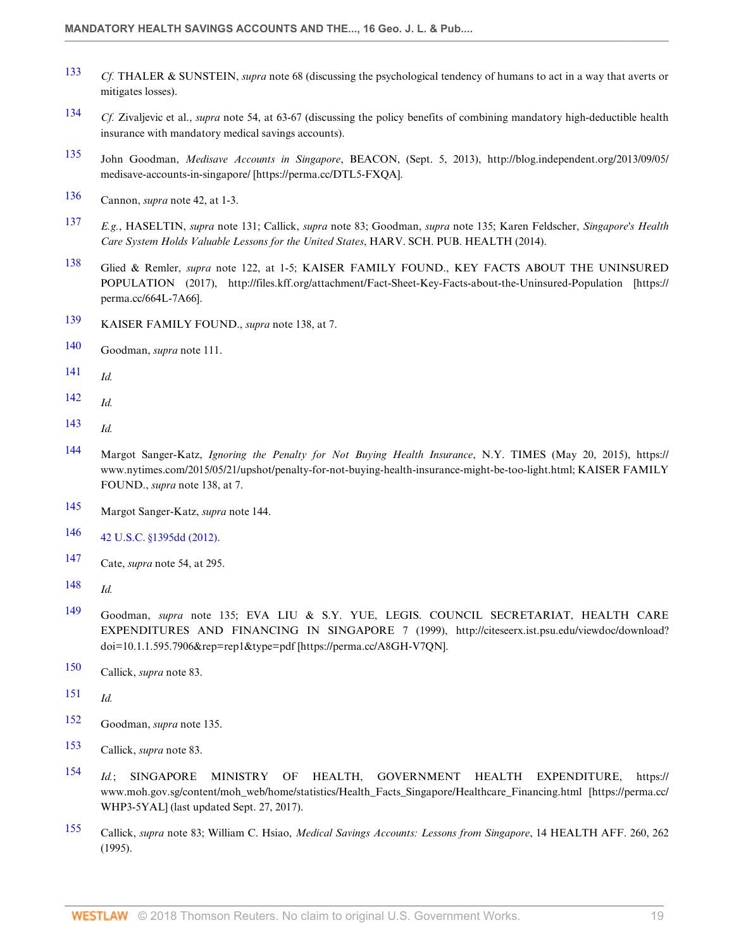- <span id="page-18-0"></span> *Cf.* THALER & SUNSTEIN, *supra* note 68 (discussing the psychological tendency of humans to act in a way that averts or mitigates losses).
- <span id="page-18-1"></span> *Cf.* Zivaljevic et al., *supra* note 54, at 63-67 (discussing the policy benefits of combining mandatory high-deductible health insurance with mandatory medical savings accounts).
- <span id="page-18-2"></span> John Goodman, *Medisave Accounts in Singapore*, BEACON, (Sept. 5, 2013), http://blog.independent.org/2013/09/05/ medisave-accounts-in-singapore/ [https://perma.cc/DTL5-FXQA].
- <span id="page-18-3"></span>Cannon, *supra* note 42, at 1-3.
- <span id="page-18-4"></span> *E.g.*, HASELTIN, *supra* note 131; Callick, *supra* note 83; Goodman, *supra* note 135; Karen Feldscher, *Singapore's Health Care System Holds Valuable Lessons for the United States*, HARV. SCH. PUB. HEALTH (2014).
- <span id="page-18-5"></span> Glied & Remler, *supra* note 122, at 1-5; KAISER FAMILY FOUND., KEY FACTS ABOUT THE UNINSURED POPULATION (2017), http://files.kff.org/attachment/Fact-Sheet-Key-Facts-about-the-Uninsured-Population [https:// perma.cc/664L-7A66].
- <span id="page-18-6"></span>KAISER FAMILY FOUND., *supra* note 138, at 7.
- <span id="page-18-7"></span>Goodman, *supra* note 111.
- <span id="page-18-8"></span>*Id.*
- <span id="page-18-9"></span>*Id.*
- <span id="page-18-10"></span>*Id.*
- <span id="page-18-11"></span> Margot Sanger-Katz, *Ignoring the Penalty for Not Buying Health Insurance*, N.Y. TIMES (May 20, 2015), https:// www.nytimes.com/2015/05/21/upshot/penalty-for-not-buying-health-insurance-might-be-too-light.html; KAISER FAMILY FOUND., *supra* note 138, at 7.
- <span id="page-18-12"></span>Margot Sanger-Katz, *supra* note 144.
- <span id="page-18-13"></span>[42 U.S.C. §1395dd \(2012\)](http://www.westlaw.com/Link/Document/FullText?findType=L&pubNum=1000546&cite=42USCAS1395DD&originatingDoc=Ie4b058f32bd911e89bf099c0ee06c731&refType=LQ&originationContext=document&vr=3.0&rs=cblt1.0&transitionType=DocumentItem&contextData=(sc.Default)).
- <span id="page-18-14"></span>Cate, *supra* note 54, at 295.
- <span id="page-18-15"></span>*Id.*
- <span id="page-18-16"></span> Goodman, *supra* note 135; EVA LIU & S.Y. YUE, LEGIS. COUNCIL SECRETARIAT, HEALTH CARE EXPENDITURES AND FINANCING IN SINGAPORE 7 (1999), http://citeseerx.ist.psu.edu/viewdoc/download? doi=10.1.1.595.7906&rep=rep1&type=pdf [https://perma.cc/A8GH-V7QN].
- <span id="page-18-17"></span>Callick, *supra* note 83.
- <span id="page-18-18"></span>*Id.*
- <span id="page-18-19"></span>Goodman, *supra* note 135.
- <span id="page-18-20"></span>Callick, *supra* note 83.
- <span id="page-18-21"></span> *Id.*; SINGAPORE MINISTRY OF HEALTH, GOVERNMENT HEALTH EXPENDITURE, https:// www.moh.gov.sg/content/moh\_web/home/statistics/Health\_Facts\_Singapore/Healthcare\_Financing.html [https://perma.cc/ WHP3-5YAL] (last updated Sept. 27, 2017).
- <span id="page-18-22"></span> Callick, *supra* note 83; William C. Hsiao, *Medical Savings Accounts: Lessons from Singapore*, 14 HEALTH AFF. 260, 262 (1995).